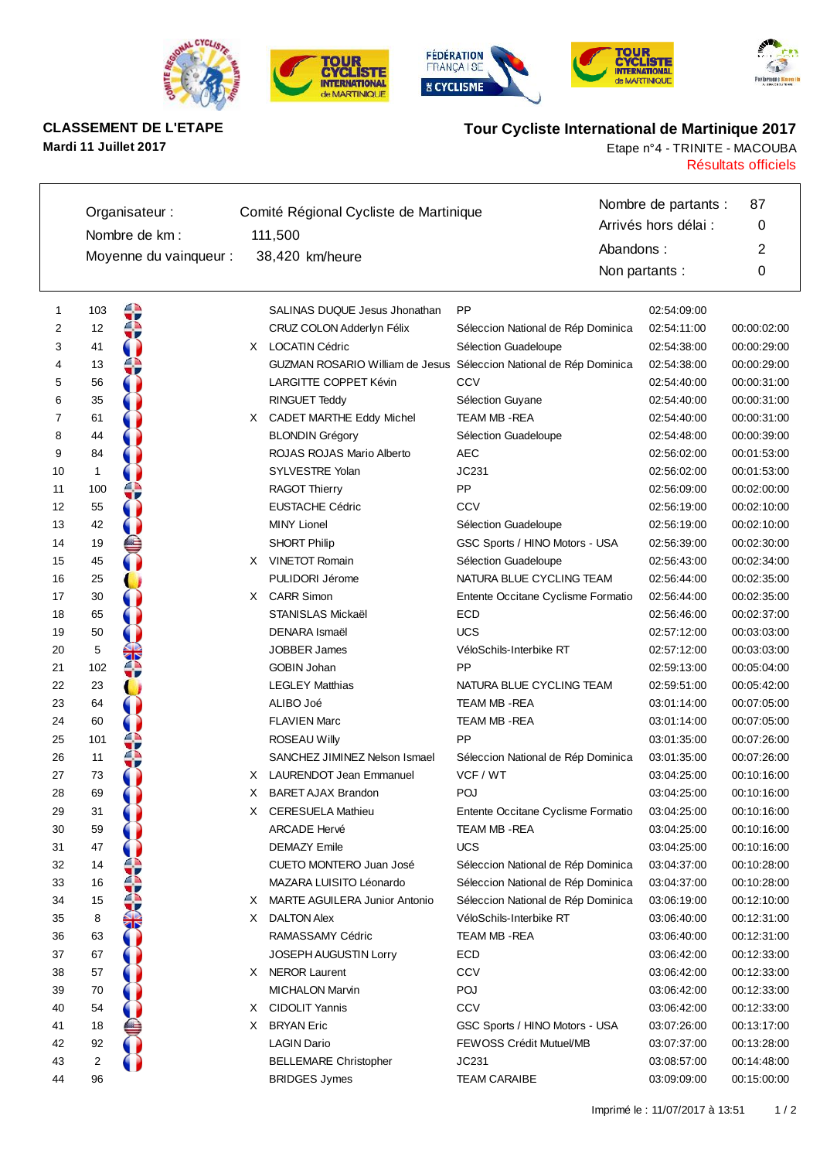









# **Mardi 11 Juillet 2017** Etape n°4 - TRINITE - MACOUBA

# **CLASSEMENT DE L'ETAPE Tour Cycliste International de Martinique 2017**

Résultats officiels

|    |              | Organisateur:          |    | Comité Régional Cycliste de Martinique                             |                                    |                | Nombre de partants : | 87          |
|----|--------------|------------------------|----|--------------------------------------------------------------------|------------------------------------|----------------|----------------------|-------------|
|    |              |                        |    |                                                                    |                                    |                | Arrivés hors délai : | 0           |
|    |              | Nombre de km :         |    | 111,500                                                            |                                    | Abandons:      |                      | 2           |
|    |              | Moyenne du vainqueur : |    | 38,420 km/heure                                                    |                                    | Non partants : |                      | 0           |
|    |              |                        |    |                                                                    |                                    |                |                      |             |
| 1  | 103          |                        |    | SALINAS DUQUE Jesus Jhonathan                                      | <b>PP</b>                          |                | 02:54:09:00          |             |
| 2  | 12           |                        |    | CRUZ COLON Adderlyn Félix                                          | Séleccion National de Rép Dominica |                | 02:54:11:00          | 00:00:02:00 |
| 3  | 41           |                        |    | X LOCATIN Cédric                                                   | Sélection Guadeloupe               |                | 02:54:38:00          | 00:00:29:00 |
| 4  | 13           |                        |    | GUZMAN ROSARIO William de Jesus Séleccion National de Rép Dominica |                                    |                | 02:54:38:00          | 00:00:29:00 |
| 5  | 56           |                        |    | LARGITTE COPPET Kévin                                              | CCV                                |                | 02:54:40:00          | 00:00:31:00 |
| 6  | 35           |                        |    | RINGUET Teddy                                                      | Sélection Guyane                   |                | 02:54:40:00          | 00:00:31:00 |
| 7  | 61           |                        |    | X CADET MARTHE Eddy Michel                                         | TEAM MB -REA                       |                | 02:54:40:00          | 00:00:31:00 |
| 8  | 44           |                        |    | <b>BLONDIN Grégory</b>                                             | Sélection Guadeloupe               |                | 02:54:48:00          | 00:00:39:00 |
| 9  | 84           |                        |    | ROJAS ROJAS Mario Alberto                                          | AEC                                |                | 02:56:02:00          | 00:01:53:00 |
| 10 | $\mathbf{1}$ |                        |    | <b>SYLVESTRE Yolan</b>                                             | JC231                              |                | 02:56:02:00          | 00:01:53:00 |
| 11 | 100          |                        |    | <b>RAGOT Thierry</b>                                               | PP                                 |                | 02:56:09:00          | 00:02:00:00 |
| 12 | 55           |                        |    | <b>EUSTACHE Cédric</b>                                             | CCV                                |                | 02:56:19:00          | 00:02:10:00 |
| 13 | 42           |                        |    | <b>MINY Lionel</b>                                                 | Sélection Guadeloupe               |                | 02:56:19:00          | 00:02:10:00 |
| 14 | 19           |                        |    | <b>SHORT Philip</b>                                                | GSC Sports / HINO Motors - USA     |                | 02:56:39:00          | 00:02:30:00 |
| 15 | 45           |                        |    | X VINETOT Romain                                                   | Sélection Guadeloupe               |                | 02:56:43:00          | 00:02:34:00 |
| 16 | 25           |                        |    | PULIDORI Jérome                                                    | NATURA BLUE CYCLING TEAM           |                | 02:56:44:00          | 00:02:35:00 |
| 17 | 30           |                        |    | X CARR Simon                                                       | Entente Occitane Cyclisme Formatio |                | 02:56:44:00          | 00:02:35:00 |
| 18 | 65           |                        |    | STANISLAS Mickaël                                                  | ECD                                |                | 02:56:46:00          | 00:02:37:00 |
| 19 | 50           |                        |    | DENARA Ismaël                                                      | <b>UCS</b>                         |                | 02:57:12:00          | 00:03:03:00 |
| 20 | 5            |                        |    | <b>JOBBER James</b>                                                | VéloSchils-Interbike RT            |                | 02:57:12:00          | 00:03:03:00 |
| 21 | 102          |                        |    | <b>GOBIN Johan</b>                                                 | <b>PP</b>                          |                | 02:59:13:00          | 00:05:04:00 |
| 22 | 23           |                        |    | <b>LEGLEY Matthias</b>                                             | NATURA BLUE CYCLING TEAM           |                | 02:59:51:00          | 00:05:42:00 |
| 23 | 64           |                        |    | ALIBO Joé                                                          | TEAM MB -REA                       |                | 03:01:14:00          | 00:07:05:00 |
| 24 | 60           |                        |    | <b>FLAVIEN Marc</b>                                                | TEAM MB -REA                       |                | 03:01:14:00          | 00:07:05:00 |
| 25 | 101          |                        |    | ROSEAU Willy                                                       | <b>PP</b>                          |                | 03:01:35:00          | 00:07:26:00 |
| 26 | 11           |                        |    | SANCHEZ JIMINEZ Nelson Ismael                                      | Séleccion National de Rép Dominica |                | 03:01:35:00          | 00:07:26:00 |
| 27 | 73           |                        |    | X LAURENDOT Jean Emmanuel                                          | VCF / WT                           |                | 03:04:25:00          | 00:10:16:00 |
| 28 | 69           |                        | X. | <b>BARET AJAX Brandon</b>                                          | POJ                                |                | 03:04:25:00          | 00:10:16:00 |
| 29 | 31           |                        |    | X CERESUELA Mathieu                                                | Entente Occitane Cyclisme Formatio |                | 03:04:25:00          | 00:10:16:00 |
| 30 | 59           |                        |    | <b>ARCADE Hervé</b>                                                | TEAM MB -REA                       |                | 03:04:25:00          | 00:10:16:00 |
| 31 | 47           |                        |    | <b>DEMAZY Emile</b>                                                | <b>UCS</b>                         |                | 03:04:25:00          | 00:10:16:00 |
| 32 | 14           |                        |    | CUETO MONTERO Juan José                                            | Séleccion National de Rép Dominica |                | 03:04:37:00          | 00:10:28:00 |
| 33 | 16           |                        |    | MAZARA LUISITO Léonardo                                            | Séleccion National de Rép Dominica |                | 03:04:37:00          | 00:10:28:00 |
| 34 | 15           |                        | X. | MARTE AGUILERA Junior Antonio                                      | Séleccion National de Rép Dominica |                | 03:06:19:00          | 00:12:10:00 |
| 35 | 8            |                        | X. | <b>DALTON Alex</b>                                                 | VéloSchils-Interbike RT            |                | 03:06:40:00          | 00:12:31:00 |
| 36 | 63           |                        |    | RAMASSAMY Cédric                                                   | TEAM MB -REA                       |                | 03:06:40:00          | 00:12:31:00 |
| 37 | 67           |                        |    | JOSEPH AUGUSTIN Lorry                                              | <b>ECD</b>                         |                | 03:06:42:00          | 00:12:33:00 |
| 38 | 57           |                        |    | X NEROR Laurent                                                    | CCV                                |                | 03:06:42:00          | 00:12:33:00 |
| 39 | 70           |                        |    | <b>MICHALON Marvin</b>                                             | POJ                                |                | 03:06:42:00          | 00:12:33:00 |
| 40 | 54           |                        | X. | CIDOLIT Yannis                                                     | CCV                                |                | 03:06:42:00          | 00:12:33:00 |
| 41 | 18           |                        | X. | <b>BRYAN Eric</b>                                                  | GSC Sports / HINO Motors - USA     |                | 03:07:26:00          | 00:13:17:00 |
| 42 | 92           |                        |    | <b>LAGIN Dario</b>                                                 | FEWOSS Crédit Mutuel/MB            |                | 03:07:37:00          | 00:13:28:00 |
| 43 | 2            |                        |    | <b>BELLEMARE Christopher</b>                                       | JC231                              |                | 03:08:57:00          | 00:14:48:00 |
| 44 | 96           |                        |    | <b>BRIDGES Jymes</b>                                               | <b>TEAM CARAIBE</b>                |                | 03:09:09:00          | 00:15:00:00 |
|    |              |                        |    |                                                                    |                                    |                |                      |             |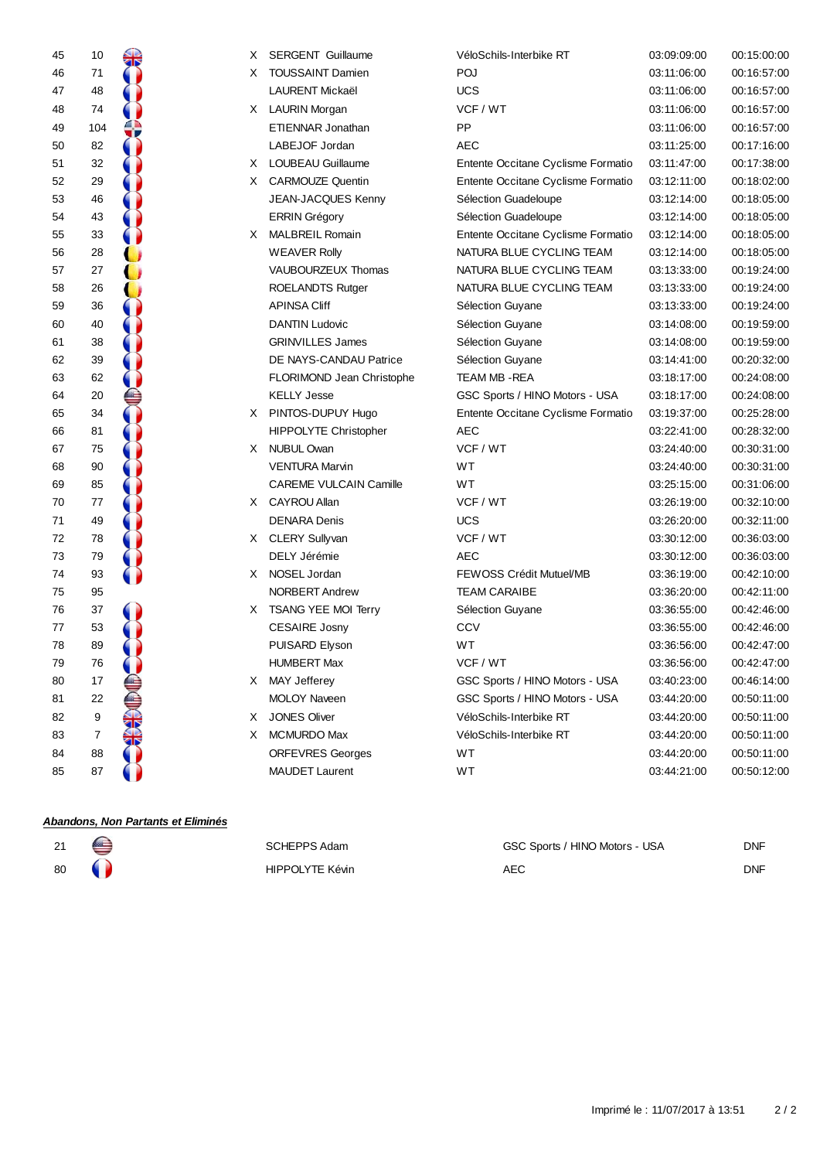|    |     |                                    |    |                               | VéloSchils-Interbike RT            |             | 00:15:00:00 |
|----|-----|------------------------------------|----|-------------------------------|------------------------------------|-------------|-------------|
| 45 | 10  | $\frac{1}{\sqrt{2}}$               |    | X SERGENT Guillaume           |                                    | 03:09:09:00 |             |
| 46 | 71  |                                    | X. | <b>TOUSSAINT Damien</b>       | POJ                                | 03:11:06:00 | 00:16:57:00 |
| 47 | 48  |                                    |    | <b>LAURENT Mickaël</b>        | <b>UCS</b>                         | 03:11:06:00 | 00:16:57:00 |
| 48 | 74  |                                    |    | X LAURIN Morgan               | VCF / WT                           | 03:11:06:00 | 00:16:57:00 |
| 49 | 104 |                                    |    | ETIENNAR Jonathan             | PP                                 | 03:11:06:00 | 00:16:57:00 |
| 50 | 82  |                                    |    | LABEJOF Jordan                | <b>AEC</b>                         | 03:11:25:00 | 00:17:16:00 |
| 51 | 32  |                                    | X. | LOUBEAU Guillaume             | Entente Occitane Cyclisme Formatio | 03:11:47:00 | 00:17:38:00 |
| 52 | 29  |                                    | X. | <b>CARMOUZE Quentin</b>       | Entente Occitane Cyclisme Formatio | 03:12:11:00 | 00:18:02:00 |
| 53 | 46  |                                    |    | JEAN-JACQUES Kenny            | Sélection Guadeloupe               | 03:12:14:00 | 00:18:05:00 |
| 54 | 43  |                                    |    | <b>ERRIN Grégory</b>          | Sélection Guadeloupe               | 03:12:14:00 | 00:18:05:00 |
| 55 | 33  |                                    |    | X MALBREIL Romain             | Entente Occitane Cyclisme Formatio | 03:12:14:00 | 00:18:05:00 |
| 56 | 28  |                                    |    | <b>WEAVER Rolly</b>           | NATURA BLUE CYCLING TEAM           | 03:12:14:00 | 00:18:05:00 |
| 57 | 27  |                                    |    | VAUBOURZEUX Thomas            | NATURA BLUE CYCLING TEAM           | 03:13:33:00 | 00:19:24:00 |
| 58 | 26  |                                    |    | <b>ROELANDTS Rutger</b>       | NATURA BLUE CYCLING TEAM           | 03:13:33:00 | 00:19:24:00 |
| 59 | 36  |                                    |    | <b>APINSA Cliff</b>           | Sélection Guyane                   | 03:13:33:00 | 00:19:24:00 |
| 60 | 40  |                                    |    | <b>DANTIN Ludovic</b>         | Sélection Guyane                   | 03:14:08:00 | 00:19:59:00 |
| 61 | 38  |                                    |    | <b>GRINVILLES James</b>       | Sélection Guyane                   | 03:14:08:00 | 00:19:59:00 |
| 62 | 39  |                                    |    | DE NAYS-CANDAU Patrice        | Sélection Guyane                   | 03:14:41:00 | 00:20:32:00 |
| 63 | 62  |                                    |    | FLORIMOND Jean Christophe     | <b>TEAM MB -REA</b>                | 03:18:17:00 | 00:24:08:00 |
| 64 | 20  |                                    |    | <b>KELLY Jesse</b>            | GSC Sports / HINO Motors - USA     | 03:18:17:00 | 00:24:08:00 |
| 65 | 34  |                                    |    | X PINTOS-DUPUY Hugo           | Entente Occitane Cyclisme Formatio | 03:19:37:00 | 00:25:28:00 |
| 66 | 81  |                                    |    | HIPPOLYTE Christopher         | <b>AEC</b>                         | 03:22:41:00 | 00:28:32:00 |
| 67 | 75  |                                    |    | X NUBUL Owan                  | VCF / WT                           | 03:24:40:00 | 00:30:31:00 |
| 68 | 90  |                                    |    | <b>VENTURA Marvin</b>         | WT                                 | 03:24:40:00 | 00:30:31:00 |
| 69 | 85  |                                    |    | <b>CAREME VULCAIN Camille</b> | WT                                 | 03:25:15:00 | 00:31:06:00 |
| 70 | 77  |                                    |    | X CAYROU Allan                | VCF / WT                           | 03:26:19:00 | 00:32:10:00 |
| 71 | 49  |                                    |    | <b>DENARA Denis</b>           | <b>UCS</b>                         | 03:26:20:00 | 00:32:11:00 |
| 72 | 78  |                                    |    | X CLERY Sullyvan              | VCF / WT                           | 03:30:12:00 | 00:36:03:00 |
| 73 | 79  |                                    |    | DELY Jérémie                  | AEC                                | 03:30:12:00 | 00:36:03:00 |
| 74 | 93  |                                    | X. | NOSEL Jordan                  | <b>FEWOSS Crédit Mutuel/MB</b>     | 03:36:19:00 | 00:42:10:00 |
| 75 | 95  |                                    |    | NORBERT Andrew                | <b>TEAM CARAIBE</b>                | 03:36:20:00 | 00:42:11:00 |
| 76 | 37  |                                    |    | X TSANG YEE MOI Terry         | Sélection Guyane                   | 03:36:55:00 | 00:42:46:00 |
| 77 | 53  |                                    |    | <b>CESAIRE Josny</b>          | <b>CCV</b>                         | 03:36:55:00 | 00:42:46:00 |
| 78 | 89  |                                    |    | PUISARD Elyson                | WT                                 | 03:36:56:00 | 00:42:47:00 |
| 79 | 76  |                                    |    | <b>HUMBERT Max</b>            | VCF / WT                           | 03:36:56:00 | 00:42:47:00 |
| 80 | 17  |                                    |    | X MAY Jefferey                | GSC Sports / HINO Motors - USA     | 03:40:23:00 | 00:46:14:00 |
| 81 | 22  | September                          |    | <b>MOLOY Naveen</b>           | GSC Sports / HINO Motors - USA     | 03:44:20:00 | 00:50:11:00 |
| 82 | 9   |                                    | X. | <b>JONES Oliver</b>           | VéloSchils-Interbike RT            | 03:44:20:00 | 00:50:11:00 |
| 83 | 7   |                                    | X. | <b>MCMURDO Max</b>            | VéloSchils-Interbike RT            | 03:44:20:00 | 00:50:11:00 |
| 84 | 88  |                                    |    | <b>ORFEVRES Georges</b>       | WT                                 | 03:44:20:00 | 00:50:11:00 |
| 85 | 87  |                                    |    | <b>MAUDET Laurent</b>         | WT                                 | 03:44:21:00 | 00:50:12:00 |
|    |     | Abandons, Non Partants et Eliminés |    |                               |                                    |             |             |

#### $\bigcirc$  SCHEPPS Adam GSC Sports / HINO Motors - USA HIPPOLYTE Kévin AEC

DNF DNF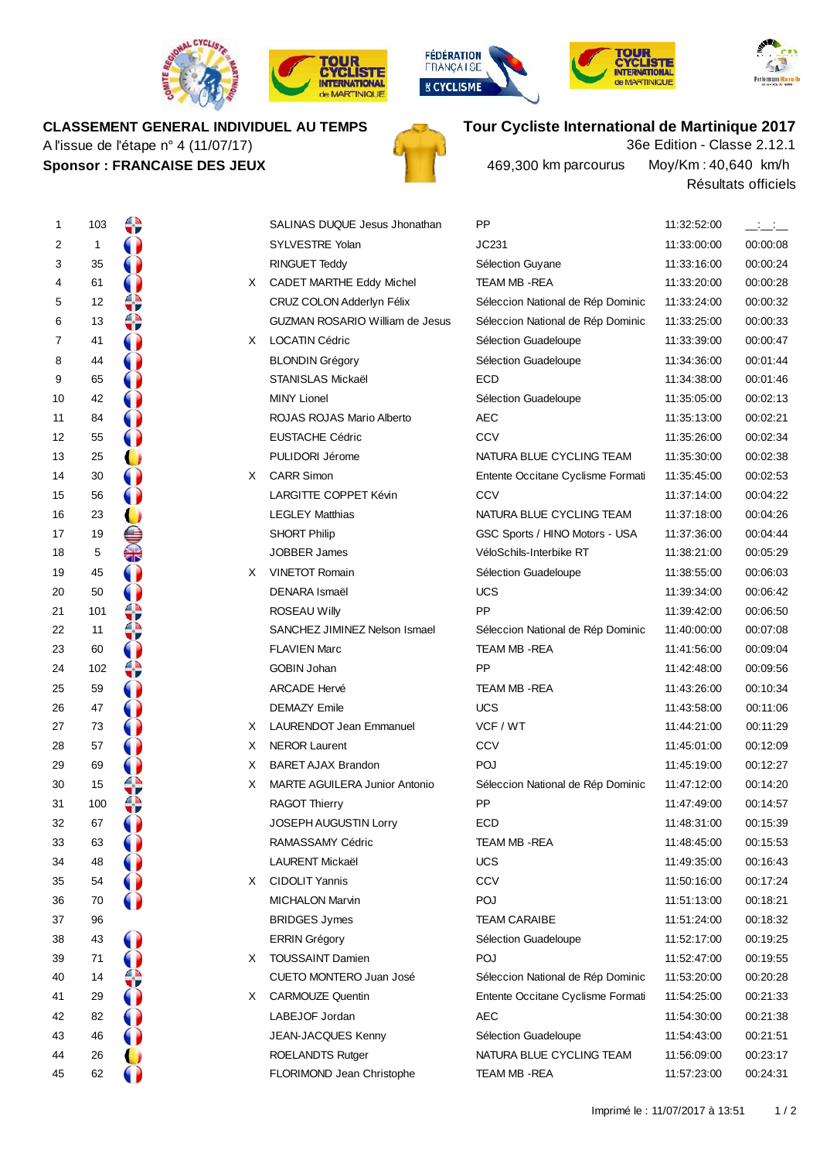









#### **CLASSEMENT GENERAL INDIVIDUEL AU TEMPS**

A l'issue de l'étape n° 4 (11/07/17) **Sponsor : FRANCAISE DES JEUX**





Résultats officiels Moy/Km :40,640 km/h 469,300 km parcourus

| 1  | 103          | ₩  |    | SALINAS DUQUE Jesus Jhonathan          | <b>PP</b>                         | 11:32:52:00 | $  -$    |
|----|--------------|----|----|----------------------------------------|-----------------------------------|-------------|----------|
| 2  | $\mathbf{1}$ |    |    | SYLVESTRE Yolan                        | JC231                             | 11:33:00:00 | 00:00:08 |
| 3  | 35           |    |    | RINGUET Teddy                          | Sélection Guyane                  | 11:33:16:00 | 00:00:24 |
| 4  | 61           |    | X. | CADET MARTHE Eddy Michel               | TEAM MB - REA                     | 11:33:20:00 | 00:00:28 |
| 5  | 12           | ≎  |    | CRUZ COLON Adderlyn Félix              | Séleccion National de Rép Dominic | 11:33:24:00 | 00:00:32 |
| 6  | 13           | ≎  |    | <b>GUZMAN ROSARIO William de Jesus</b> | Séleccion National de Rép Dominic | 11:33:25:00 | 00:00:33 |
| 7  | 41           |    | X. | LOCATIN Cédric                         | Sélection Guadeloupe              | 11:33:39:00 | 00:00:47 |
| 8  | 44           |    |    | <b>BLONDIN Grégory</b>                 | Sélection Guadeloupe              | 11:34:36:00 | 00:01:44 |
| 9  | 65           |    |    | <b>STANISLAS Mickaël</b>               | <b>ECD</b>                        | 11:34:38:00 | 00:01:46 |
| 10 | 42           |    |    | <b>MINY Lionel</b>                     | Sélection Guadeloupe              | 11:35:05:00 | 00:02:13 |
| 11 | 84           |    |    | ROJAS ROJAS Mario Alberto              | <b>AEC</b>                        | 11:35:13:00 | 00:02:21 |
| 12 | 55           |    |    | <b>EUSTACHE Cédric</b>                 | CCV                               | 11:35:26:00 | 00:02:34 |
| 13 | 25           |    |    | PULIDORI Jérome                        | NATURA BLUE CYCLING TEAM          | 11:35:30:00 | 00:02:38 |
| 14 | 30           |    |    | X CARR Simon                           | Entente Occitane Cyclisme Formati | 11:35:45:00 | 00:02:53 |
| 15 | 56           |    |    | LARGITTE COPPET Kévin                  | CCV                               | 11:37:14:00 | 00:04:22 |
| 16 | 23           |    |    | <b>LEGLEY Matthias</b>                 | NATURA BLUE CYCLING TEAM          | 11:37:18:00 | 00:04:26 |
| 17 | 19           | S  |    | <b>SHORT Philip</b>                    | GSC Sports / HINO Motors - USA    | 11:37:36:00 | 00:04:44 |
| 18 | $\,$ 5 $\,$  |    |    | <b>JOBBER James</b>                    | VéloSchils-Interbike RT           | 11:38:21:00 | 00:05:29 |
| 19 | 45           |    |    | X VINETOT Romain                       | Sélection Guadeloupe              | 11:38:55:00 | 00:06:03 |
| 20 | 50           |    |    | DENARA Ismaël                          | <b>UCS</b>                        | 11:39:34:00 | 00:06:42 |
| 21 | 101          |    |    | <b>ROSEAU Willy</b>                    | <b>PP</b>                         | 11:39:42:00 | 00:06:50 |
| 22 | 11           | wν |    | SANCHEZ JIMINEZ Nelson Ismael          | Séleccion National de Rép Dominic | 11:40:00:00 | 00:07:08 |
| 23 | 60           |    |    | <b>FLAVIEN Marc</b>                    | TEAM MB-REA                       | 11:41:56:00 | 00:09:04 |
| 24 | 102          | ⇔  |    | <b>GOBIN Johan</b>                     | PP                                | 11:42:48:00 | 00:09:56 |
| 25 | 59           |    |    | ARCADE Hervé                           | TEAM MB - REA                     | 11:43:26:00 | 00:10:34 |
| 26 | 47           |    |    | <b>DEMAZY Emile</b>                    | <b>UCS</b>                        | 11:43:58:00 | 00:11:06 |
| 27 | 73           |    | X  | <b>LAURENDOT Jean Emmanuel</b>         | VCF / WT                          | 11:44:21:00 | 00:11:29 |
| 28 | 57           |    | X  | <b>NEROR Laurent</b>                   | CCV                               | 11:45:01:00 | 00:12:09 |
| 29 | 69           |    | Χ  | <b>BARET AJAX Brandon</b>              | POJ                               | 11:45:19:00 | 00:12:27 |
| 30 | 15           |    | Χ  | <b>MARTE AGUILERA Junior Antonio</b>   | Séleccion National de Rép Dominic | 11:47:12:00 | 00:14:20 |
| 31 | 100          |    |    | <b>RAGOT Thierry</b>                   | <b>PP</b>                         | 11:47:49:00 | 00:14:57 |
| 32 | 67           |    |    | <b>JOSEPH AUGUSTIN Lorry</b>           | ECD                               | 11:48:31:00 | 00:15:39 |
| 33 | 63           |    |    | RAMASSAMY Cédric                       | TEAM MB-REA                       | 11:48:45:00 | 00:15:53 |
| 34 | 48           |    |    | LAURENT Mickaël                        | <b>UCS</b>                        | 11:49:35:00 | 00:16:43 |
| 35 | 54           |    | X. | <b>CIDOLIT Yannis</b>                  | CCV                               | 11:50:16:00 | 00:17:24 |
| 36 | 70           |    |    | <b>MICHALON Marvin</b>                 | POJ                               | 11:51:13:00 | 00:18:21 |
| 37 | 96           |    |    | <b>BRIDGES Jymes</b>                   | <b>TEAM CARAIBE</b>               | 11:51:24:00 | 00:18:32 |
| 38 | 43           |    |    | <b>ERRIN Grégory</b>                   | Sélection Guadeloupe              | 11:52:17:00 | 00:19:25 |
| 39 | 71           |    | X  | <b>TOUSSAINT Damien</b>                | POJ                               | 11:52:47:00 | 00:19:55 |
| 40 | 14           | v  |    | CUETO MONTERO Juan José                | Séleccion National de Rép Dominic | 11:53:20:00 | 00:20:28 |
| 41 | 29           |    |    | X CARMOUZE Quentin                     | Entente Occitane Cyclisme Formati | 11:54:25:00 | 00:21:33 |
| 42 | 82           |    |    | LABEJOF Jordan                         | <b>AEC</b>                        | 11:54:30:00 | 00:21:38 |
| 43 | 46           |    |    | JEAN-JACQUES Kenny                     | Sélection Guadeloupe              | 11:54:43:00 | 00:21:51 |
| 44 | 26           |    |    | <b>ROELANDTS Rutger</b>                | NATURA BLUE CYCLING TEAM          | 11:56:09:00 | 00:23:17 |
| 45 | 62           |    |    | FLORIMOND Jean Christophe              | TEAM MB - REA                     | 11:57:23:00 | 00:24:31 |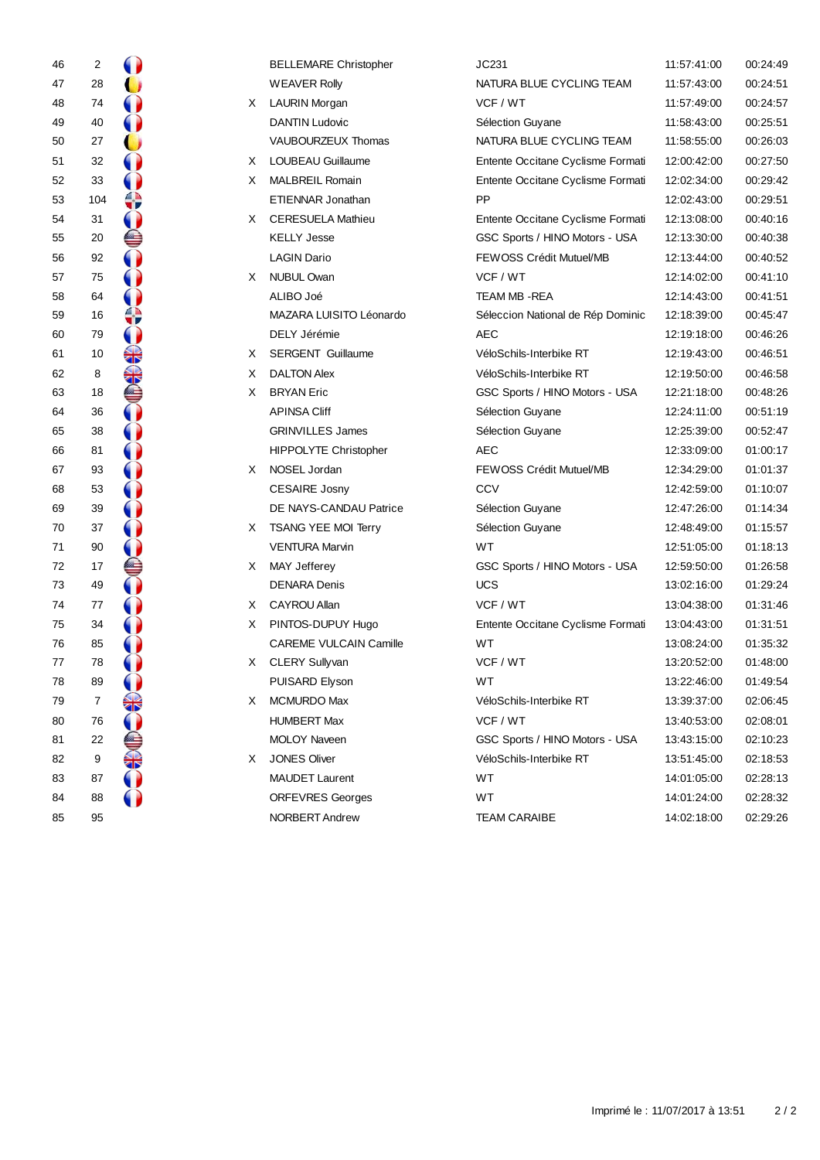| 46 | 2   |                      |    | <b>BELLEMARE Christopher</b>  | JC231                             | 11:57:41:00 | 00:24:49 |
|----|-----|----------------------|----|-------------------------------|-----------------------------------|-------------|----------|
| 47 | 28  |                      |    | <b>WEAVER Rolly</b>           | NATURA BLUE CYCLING TEAM          | 11:57:43:00 | 00:24:51 |
| 48 | 74  | 0                    | X. | <b>LAURIN Morgan</b>          | VCF / WT                          | 11:57:49:00 | 00:24:57 |
| 49 | 40  |                      |    | DANTIN Ludovic                | Sélection Guyane                  | 11:58:43:00 | 00:25:51 |
| 50 | 27  |                      |    | VAUBOURZEUX Thomas            | NATURA BLUE CYCLING TEAM          | 11:58:55:00 | 00:26:03 |
| 51 | 32  |                      | X. | LOUBEAU Guillaume             | Entente Occitane Cyclisme Formati | 12:00:42:00 | 00:27:50 |
| 52 | 33  |                      | X  | MALBREIL Romain               | Entente Occitane Cyclisme Formati | 12:02:34:00 | 00:29:42 |
| 53 | 104 | ≎                    |    | ETIENNAR Jonathan             | PP                                | 12:02:43:00 | 00:29:51 |
| 54 | 31  | $\bullet$            | X. | <b>CERESUELA Mathieu</b>      | Entente Occitane Cyclisme Formati | 12:13:08:00 | 00:40:16 |
| 55 | 20  | e                    |    | <b>KELLY Jesse</b>            | GSC Sports / HINO Motors - USA    | 12:13:30:00 | 00:40:38 |
| 56 | 92  | 0                    |    | <b>LAGIN Dario</b>            | FEWOSS Crédit Mutuel/MB           | 12:13:44:00 | 00:40:52 |
| 57 | 75  | $\bullet$            | X. | <b>NUBUL Owan</b>             | VCF / WT                          | 12:14:02:00 | 00:41:10 |
| 58 | 64  |                      |    | ALIBO Joé                     | TEAM MB - REA                     | 12:14:43:00 | 00:41:51 |
| 59 | 16  | ≎                    |    | MAZARA LUISITO Léonardo       | Séleccion National de Rép Dominic | 12:18:39:00 | 00:45:47 |
| 60 | 79  | $\bullet$            |    | DELY Jérémie                  | AEC                               | 12:19:18:00 | 00:46:26 |
| 61 | 10  | $\frac{1}{\sqrt{2}}$ | X  | <b>SERGENT Guillaume</b>      | VéloSchils-Interbike RT           | 12:19:43:00 | 00:46:51 |
| 62 | 8   | ♣                    | X  | <b>DALTON Alex</b>            | VéloSchils-Interbike RT           | 12:19:50:00 | 00:46:58 |
| 63 | 18  | ⊜                    | X  | <b>BRYAN Eric</b>             | GSC Sports / HINO Motors - USA    | 12:21:18:00 | 00:48:26 |
| 64 | 36  | $\mathbf \Omega$     |    | <b>APINSA Cliff</b>           | Sélection Guyane                  | 12:24:11:00 | 00:51:19 |
| 65 | 38  | $\bigcirc$           |    | <b>GRINVILLES James</b>       | Sélection Guyane                  | 12:25:39:00 | 00:52:47 |
| 66 | 81  |                      |    | <b>HIPPOLYTE Christopher</b>  | <b>AEC</b>                        | 12:33:09:00 | 01:00:17 |
| 67 | 93  |                      | X  | NOSEL Jordan                  | FEWOSS Crédit Mutuel/MB           | 12:34:29:00 | 01:01:37 |
| 68 | 53  |                      |    | <b>CESAIRE Josny</b>          | CCV                               | 12:42:59:00 | 01:10:07 |
| 69 | 39  | O                    |    | DE NAYS-CANDAU Patrice        | Sélection Guyane                  | 12:47:26:00 | 01:14:34 |
| 70 | 37  | $\bullet$            | X  | <b>TSANG YEE MOI Terry</b>    | Sélection Guyane                  | 12:48:49:00 | 01:15:57 |
| 71 | 90  | 0                    |    | <b>VENTURA Marvin</b>         | <b>WT</b>                         | 12:51:05:00 | 01:18:13 |
| 72 | 17  | ⊜                    | X. | <b>MAY Jefferey</b>           | GSC Sports / HINO Motors - USA    | 12:59:50:00 | 01:26:58 |
| 73 | 49  |                      |    | <b>DENARA Denis</b>           | <b>UCS</b>                        | 13:02:16:00 | 01:29:24 |
| 74 | 77  |                      | X. | CAYROU Allan                  | VCF / WT                          | 13:04:38:00 | 01:31:46 |
| 75 | 34  |                      | X. | PINTOS-DUPUY Hugo             | Entente Occitane Cyclisme Formati | 13:04:43:00 | 01:31:51 |
| 76 | 85  |                      |    | <b>CAREME VULCAIN Camille</b> | <b>WT</b>                         | 13:08:24:00 | 01:35:32 |
| 77 | 78  |                      | X. | <b>CLERY Sullyvan</b>         | VCF / WT                          | 13:20:52:00 | 01:48:00 |
| 78 | 89  |                      |    | PUISARD Elyson                | WT                                | 13:22:46:00 | 01:49:54 |
| 79 | 7   | ₩                    | X. | <b>MCMURDO Max</b>            | VéloSchils-Interbike RT           | 13:39:37:00 | 02:06:45 |
| 80 | 76  |                      |    | <b>HUMBERT Max</b>            | VCF / WT                          | 13:40:53:00 | 02:08:01 |
| 81 | 22  |                      |    | <b>MOLOY Naveen</b>           | GSC Sports / HINO Motors - USA    | 13:43:15:00 | 02:10:23 |
| 82 | 9   | SS-                  | X  | <b>JONES Oliver</b>           | VéloSchils-Interbike RT           | 13:51:45:00 | 02:18:53 |
| 83 | 87  |                      |    | <b>MAUDET Laurent</b>         | WT                                | 14:01:05:00 | 02:28:13 |
| 84 | 88  |                      |    | <b>ORFEVRES Georges</b>       | WT                                | 14:01:24:00 | 02:28:32 |
| 85 | 95  |                      |    | NORBERT Andrew                | <b>TEAM CARAIBE</b>               | 14:02:18:00 | 02:29:26 |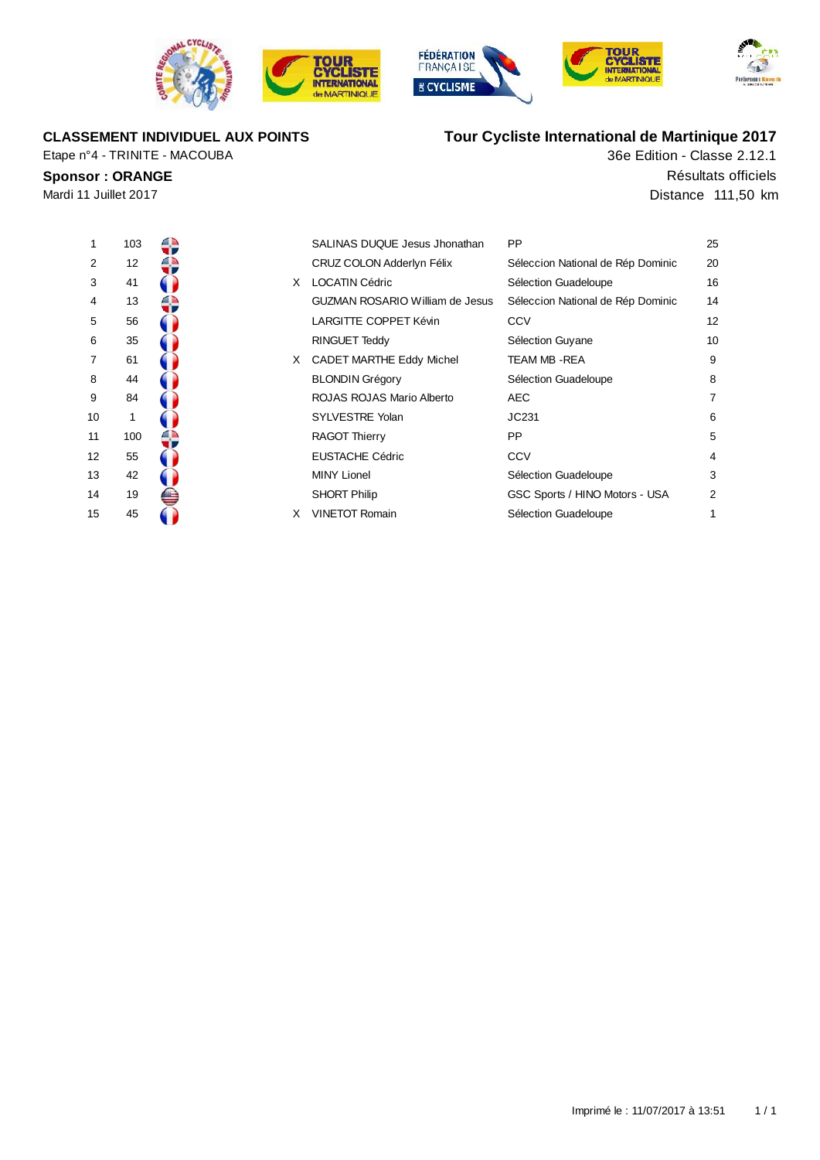







**CLASSEMENT INDIVIDUEL AUX POINTS**

Etape n°4 - TRINITE - MACOUBA

### **Tour Cycliste International de Martinique 2017** 36e Edition - Classe 2.12.1

**Sponsor : ORANGE** Résultats officiels Mardi 11 Juillet 2017 **Distance 111,50 km** 

| 1  | 103 |  |
|----|-----|--|
| 2  | 12  |  |
| 3  | 41  |  |
| 4  | 13  |  |
| 5  | 56  |  |
| 6  | 35  |  |
| 7  | 61  |  |
| 8  | 44  |  |
| 9  | 84  |  |
| 10 | 1   |  |
| 11 | 100 |  |
| 12 | 55  |  |
| 13 | 42  |  |
| 14 | 19  |  |
| 15 | 45  |  |

| 1  | 103 |    | SALINAS DUQUE Jesus Jhonathan          | <b>PP</b>                         | 25 |
|----|-----|----|----------------------------------------|-----------------------------------|----|
| 2  | 12  |    | CRUZ COLON Adderlyn Félix              | Séleccion National de Rép Dominic | 20 |
| 3  | 41  | X  | <b>LOCATIN Cédric</b>                  | Sélection Guadeloupe              | 16 |
| 4  | 13  |    | <b>GUZMAN ROSARIO William de Jesus</b> | Séleccion National de Rép Dominic | 14 |
| 5  | 56  |    | <b>LARGITTE COPPET Kévin</b>           | CCV                               | 12 |
| 6  | 35  |    | RINGUET Teddy                          | Sélection Guyane                  | 10 |
| 7  | 61  | X. | <b>CADET MARTHE Eddy Michel</b>        | TEAM MB -REA                      | 9  |
| 8  | 44  |    | <b>BLONDIN Grégory</b>                 | Sélection Guadeloupe              | 8  |
| 9  | 84  |    | ROJAS ROJAS Mario Alberto              | AEC                               | 7  |
| 10 |     |    | SYLVESTRE Yolan                        | JC231                             | 6  |
| 11 | 100 |    | <b>RAGOT Thierry</b>                   | <b>PP</b>                         | 5  |
| 12 | 55  |    | <b>EUSTACHE Cédric</b>                 | CCV                               | 4  |
| 13 | 42  |    | <b>MINY Lionel</b>                     | Sélection Guadeloupe              | 3  |
| 14 | 19  |    | <b>SHORT Philip</b>                    | GSC Sports / HINO Motors - USA    | 2  |
| 15 | 45  | X  | <b>VINETOT Romain</b>                  | Sélection Guadeloupe              | 1  |
|    |     |    |                                        |                                   |    |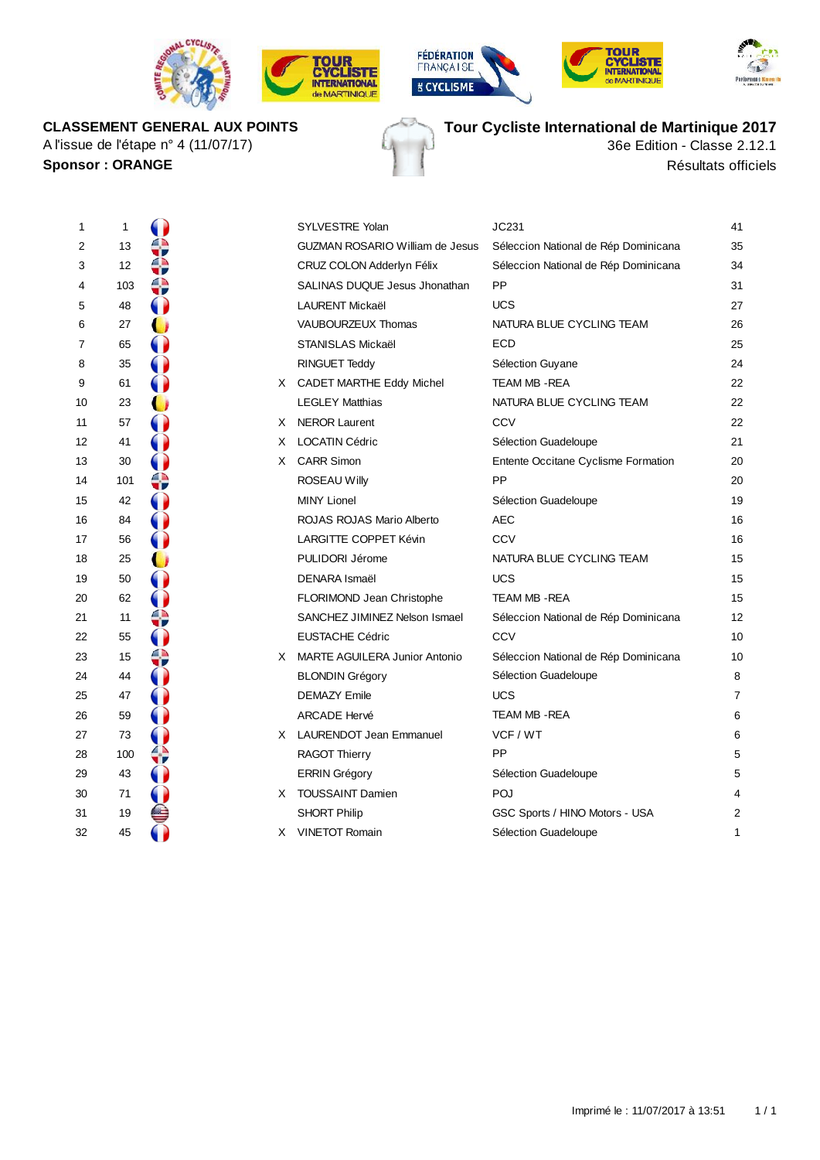







**CLASSEMENT GENERAL AUX POINTS** A l'issue de l'étape n° 4 (11/07/17)

**Tour Cycliste International de Martinique 2017**

36e Edition - Classe 2.12.1 **Sponsor :** ORANGE Résultats officiels

| 1  | 1   |    |    | <b>SYLVESTRE Yolan</b>          | JC231                                | 41 |
|----|-----|----|----|---------------------------------|--------------------------------------|----|
| 2  | 13  | τr |    | GUZMAN ROSARIO William de Jesus | Séleccion National de Rép Dominicana | 35 |
| 3  | 12  | wσ |    | CRUZ COLON Adderlyn Félix       | Séleccion National de Rép Dominicana | 34 |
| 4  | 103 | ↔  |    | SALINAS DUQUE Jesus Jhonathan   | <b>PP</b>                            | 31 |
| 5  | 48  |    |    | <b>LAURENT Mickaël</b>          | <b>UCS</b>                           | 27 |
| 6  | 27  |    |    | VAUBOURZEUX Thomas              | NATURA BLUE CYCLING TEAM             | 26 |
| 7  | 65  |    |    | STANISLAS Mickaël               | <b>ECD</b>                           | 25 |
| 8  | 35  |    |    | RINGUET Teddy                   | Sélection Guyane                     | 24 |
| 9  | 61  |    |    | X CADET MARTHE Eddy Michel      | TEAM MB - REA                        | 22 |
| 10 | 23  |    |    | <b>LEGLEY Matthias</b>          | NATURA BLUE CYCLING TEAM             | 22 |
| 11 | 57  |    |    | X NEROR Laurent                 | CCV                                  | 22 |
| 12 | 41  |    | X  | <b>LOCATIN Cédric</b>           | Sélection Guadeloupe                 | 21 |
| 13 | 30  |    |    | X CARR Simon                    | Entente Occitane Cyclisme Formation  | 20 |
| 14 | 101 | ⇔  |    | <b>ROSEAU Willy</b>             | PP                                   | 20 |
| 15 | 42  |    |    | <b>MINY Lionel</b>              | Sélection Guadeloupe                 | 19 |
| 16 | 84  |    |    | ROJAS ROJAS Mario Alberto       | <b>AEC</b>                           | 16 |
| 17 | 56  |    |    | LARGITTE COPPET Kévin           | CCV                                  | 16 |
| 18 | 25  |    |    | PULIDORI Jérome                 | NATURA BLUE CYCLING TEAM             | 15 |
| 19 | 50  |    |    | <b>DENARA Ismaël</b>            | <b>UCS</b>                           | 15 |
| 20 | 62  |    |    | FLORIMOND Jean Christophe       | TEAM MB - REA                        | 15 |
| 21 | 11  | €  |    | SANCHEZ JIMINEZ Nelson Ismael   | Séleccion National de Rép Dominicana | 12 |
| 22 | 55  |    |    | <b>EUSTACHE Cédric</b>          | CCV                                  | 10 |
| 23 | 15  | ⇔  |    | X MARTE AGUILERA Junior Antonio | Séleccion National de Rép Dominicana | 10 |
| 24 | 44  |    |    | <b>BLONDIN Grégory</b>          | Sélection Guadeloupe                 | 8  |
| 25 | 47  |    |    | <b>DEMAZY Emile</b>             | <b>UCS</b>                           | 7  |
| 26 | 59  |    |    | <b>ARCADE Hervé</b>             | TEAM MB - REA                        | 6  |
| 27 | 73  |    |    | X LAURENDOT Jean Emmanuel       | VCF / WT                             | 6  |
| 28 | 100 | ↔  |    | <b>RAGOT Thierry</b>            | PP                                   | 5  |
| 29 | 43  | O  |    | <b>ERRIN Grégory</b>            | Sélection Guadeloupe                 | 5  |
| 30 | 71  | O  |    | X TOUSSAINT Damien              | POJ                                  | 4  |
| 31 | 19  |    |    | <b>SHORT Philip</b>             | GSC Sports / HINO Motors - USA       | 2  |
| 32 | 45  |    | X. | <b>VINETOT Romain</b>           | Sélection Guadeloupe                 | 1  |
|    |     |    |    |                                 |                                      |    |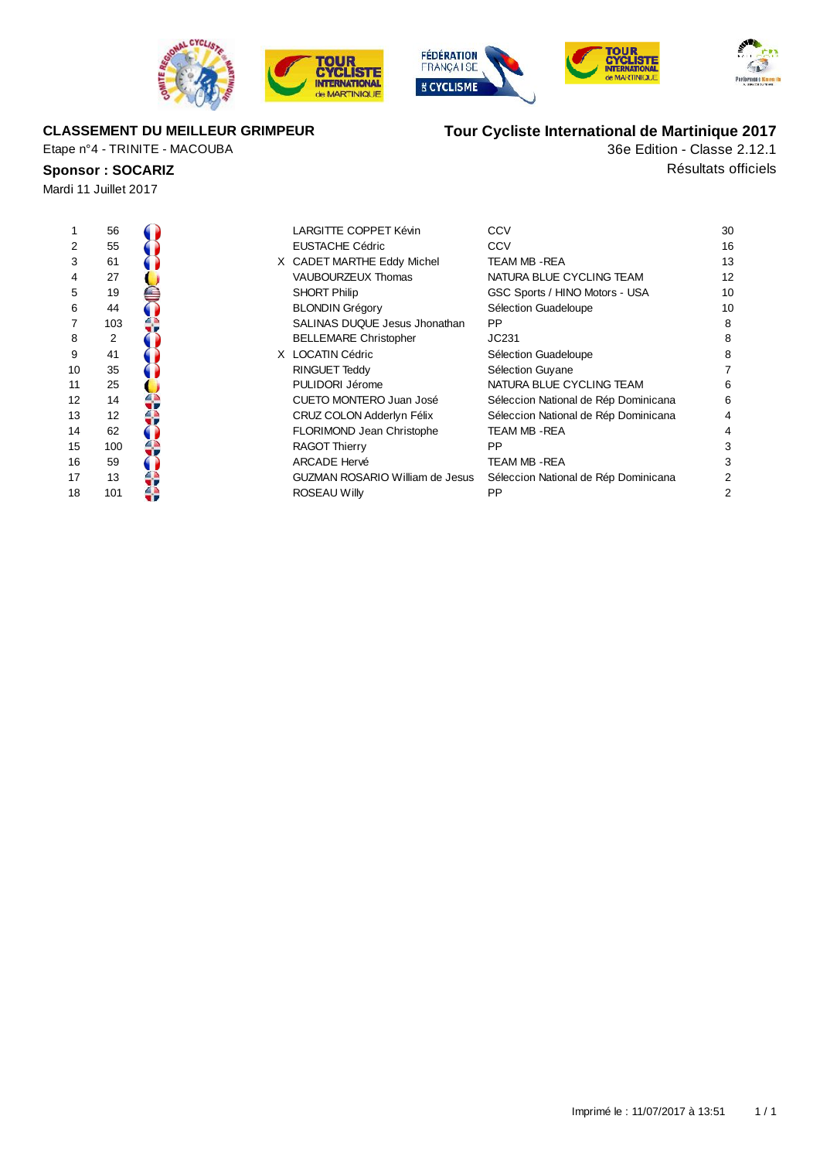







#### **CLASSEMENT DU MEILLEUR GRIMPEUR**

Etape n°4 - TRINITE - MACOUBA

# **Sponsor : SOCARIZ Résultats** officiels

Mardi 11 Juillet 2017

36e Edition - Classe 2.12.1 **Tour Cycliste International de Martinique 2017**

| 1  | 56  |  | LARGITTE COPPET Kévin           | CCV                                  | 30 |
|----|-----|--|---------------------------------|--------------------------------------|----|
| 2  | 55  |  | EUSTACHE Cédric                 | CCV                                  | 16 |
| 3  | 61  |  | X CADET MARTHE Eddy Michel      | <b>TEAM MB - REA</b>                 | 13 |
| 4  | 27  |  | <b>VAUBOURZEUX Thomas</b>       | NATURA BLUE CYCLING TEAM             | 12 |
| 5  | 19  |  | <b>SHORT Philip</b>             | GSC Sports / HINO Motors - USA       | 10 |
| 6  | 44  |  | <b>BLONDIN Grégory</b>          | Sélection Guadeloupe                 | 10 |
| 7  | 103 |  | SALINAS DUQUE Jesus Jhonathan   | <b>PP</b>                            | 8  |
| 8  | 2   |  | <b>BELLEMARE Christopher</b>    | JC231                                | 8  |
| 9  | 41  |  | X LOCATIN Cédric                | Sélection Guadeloupe                 | 8  |
| 10 | 35  |  | RINGUET Teddy                   | Sélection Guyane                     |    |
| 11 | 25  |  | PULIDORI Jérome                 | NATURA BLUE CYCLING TEAM             | 6  |
| 12 | 14  |  | CUETO MONTERO Juan José         | Séleccion National de Rép Dominicana | 6  |
| 13 | 12  |  | CRUZ COLON Adderlyn Félix       | Séleccion National de Rép Dominicana | 4  |
| 14 | 62  |  | FLORIMOND Jean Christophe       | TEAM MB - REA                        | 4  |
| 15 | 100 |  | <b>RAGOT Thierry</b>            | <b>PP</b>                            | 3  |
| 16 | 59  |  | ARCADE Hervé                    | TEAM MB - REA                        |    |
| 17 | 13  |  | GUZMAN ROSARIO William de Jesus | Séleccion National de Rép Dominicana |    |
| 18 | 101 |  | ROSEAU Willy                    | PP                                   |    |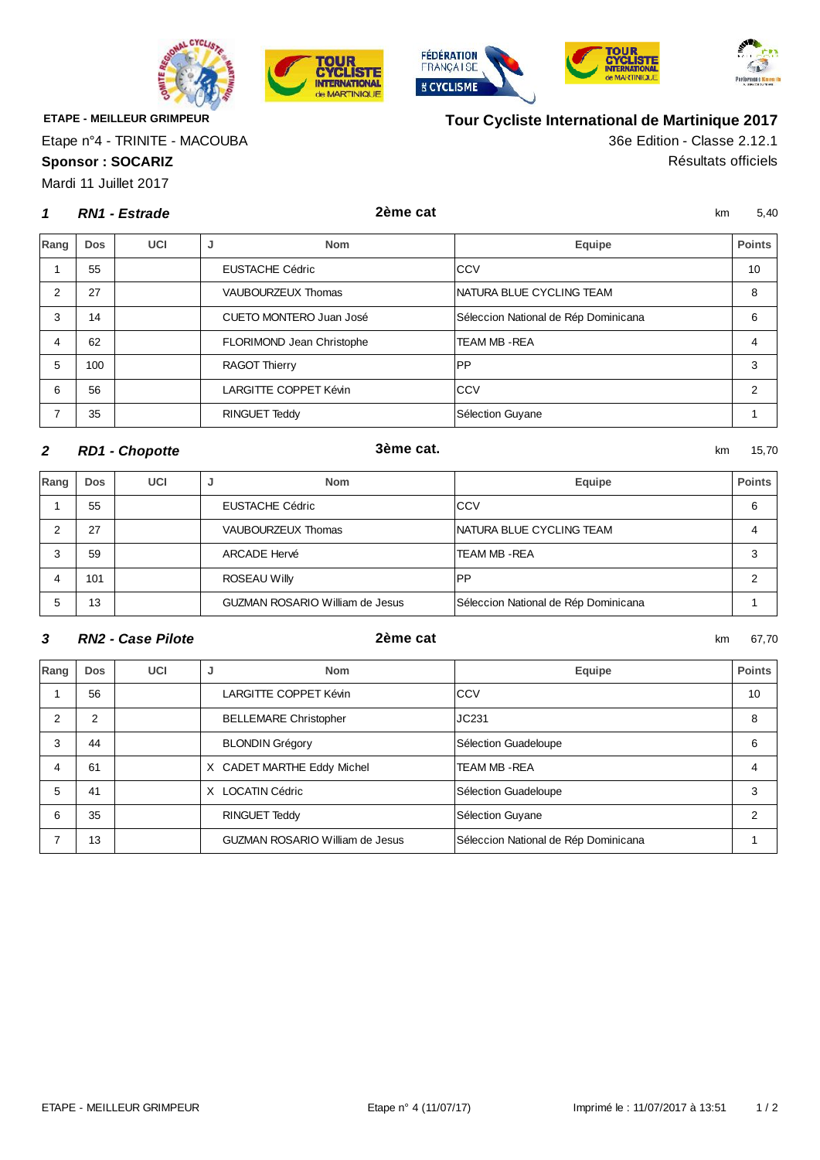





**Tour Cycliste International de Martinique 2017**



**ETAPE - MEILLEUR GRIMPEUR**

Etape n°4 - TRINITE - MACOUBA

**Sponsor : SOCARIZ** Résultats officiels

Mardi 11 Juillet 2017

#### **1** km 5,40 **RN1 - Estrade 2ème cat**

OUR

**CYCLISTE**<br>INTERNATIONAL

**Je MARTINIQUE** 

36e Edition - Classe 2.12.1

| Rang | <b>Dos</b> | UCI | <b>Nom</b><br>J           | Equipe                               | Points |
|------|------------|-----|---------------------------|--------------------------------------|--------|
|      | 55         |     | <b>EUSTACHE Cédric</b>    | <b>CCV</b>                           | 10     |
| 2    | 27         |     | VAUBOURZEUX Thomas        | NATURA BLUE CYCLING TEAM             | 8      |
| 3    | 14         |     | CUETO MONTERO Juan José   | Séleccion National de Rép Dominicana | 6      |
| 4    | 62         |     | FLORIMOND Jean Christophe | <b>TEAM MB - REA</b>                 | 4      |
| 5    | 100        |     | <b>RAGOT Thierry</b>      | <b>PP</b>                            | 3      |
| 6    | 56         |     | LARGITTE COPPET Kévin     | <b>CCV</b>                           | 2      |
|      | 35         |     | RINGUET Teddy             | Sélection Guyane                     |        |

### **2** km 15,70 **RD1 - Chopotte 3ème cat.**

**Rang Dos UCI J Nom Equipe Points** 1 55 EUSTACHE Cédric Communication CCV COV COMMUNICATION COMMUNICATION COMMUNICATION COMMUNICATION COMMUNICATION COMMUNICATION COMMUNICATION COMMUNICATION COMMUNICATION COMMUNICATION COMMUNICATION COMMUNICATION COMMUNICATI 2 27 VAUBOURZEUX Thomas NATURA BLUE CYCLING TEAM 4 3 59 ARCADE Hervé TEAM MB -REA 3 4 | 101 | ROSEAU Willy PP | 2 5 13 GUZMAN ROSARIO William de Jesus Séleccion National de Rép Dominicana 1996

#### **3** km 67,70 **RN2 - Case Pilote 2ème cat**

| Rang | <b>Dos</b>     | <b>UCI</b> | <b>Nom</b><br>J                        | Equipe                               | <b>Points</b>  |
|------|----------------|------------|----------------------------------------|--------------------------------------|----------------|
|      | 56             |            | LARGITTE COPPET Kévin                  | CCV                                  | 10             |
| 2    | $\overline{2}$ |            | <b>BELLEMARE Christopher</b>           | JC231                                | 8              |
| 3    | 44             |            | <b>BLONDIN Grégory</b>                 | Sélection Guadeloupe                 | 6              |
| 4    | 61             |            | X CADET MARTHE Eddy Michel             | <b>TEAM MB -REA</b>                  | 4              |
| 5    | 41             |            | X LOCATIN Cédric                       | Sélection Guadeloupe                 | 3              |
| 6    | 35             |            | RINGUET Teddy                          | Sélection Guyane                     | $\mathfrak{p}$ |
|      | 13             |            | <b>GUZMAN ROSARIO William de Jesus</b> | Séleccion National de Rép Dominicana |                |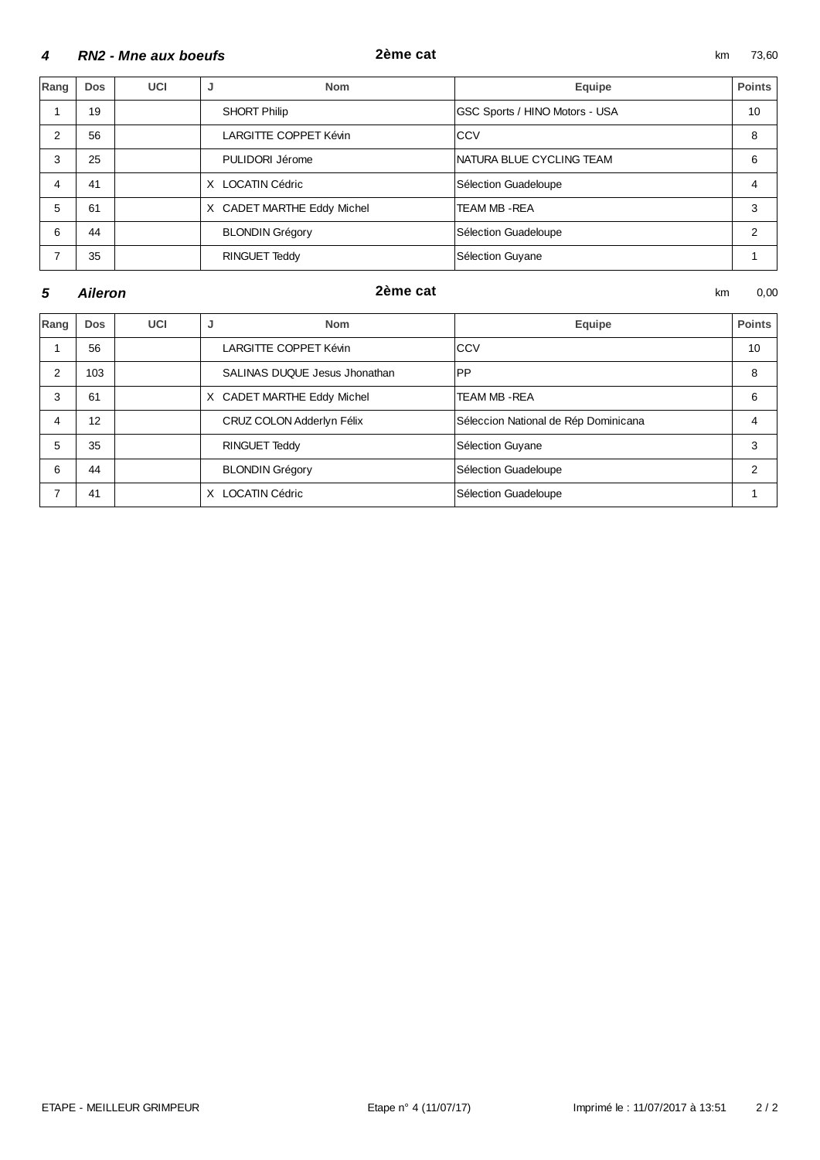#### km 73,60 **RN2 - Mne aux boeufs 2ème cat**

| Rang | <b>Dos</b> | UCI | <b>Nom</b><br>J            | Equipe                         | <b>Points</b> |
|------|------------|-----|----------------------------|--------------------------------|---------------|
|      | 19         |     | SHORT Philip               | GSC Sports / HINO Motors - USA | 10            |
| 2    | 56         |     | LARGITTE COPPET Kévin      | <b>ICCV</b>                    | 8             |
| 3    | 25         |     | PULIDORI Jérome            | NATURA BLUE CYCLING TEAM       | 6             |
| 4    | 41         |     | <b>LOCATIN Cédric</b><br>X | Sélection Guadeloupe           | 4             |
| 5    | 61         |     | X CADET MARTHE Eddy Michel | TEAM MB - REA                  | 3             |
| 6    | 44         |     | <b>BLONDIN Grégory</b>     | Sélection Guadeloupe           | 2             |
| ⇁    | 35         |     | RINGUET Teddy              | Sélection Guyane               |               |

#### **5 Aileron 1.1 Contract 1.1 Contract 1.1 Contract 1.1 Contract 1.1 Contract 1.1 Contract 1.1 Contract 1.1 Contract 1.1 Contract 1.1 Contract 1.1 Contract 1.1 Contract 1.1 Contract 1.1 Contract 1.1 Contract 1.1 Contract 1**

#### **Aileron 2ème cat**

| Rang | <b>Dos</b> | UCI | J<br><b>Nom</b>               | Equipe                               | <b>Points</b>  |
|------|------------|-----|-------------------------------|--------------------------------------|----------------|
|      | 56         |     | LARGITTE COPPET Kévin         | <b>CCV</b>                           | 10             |
| 2    | 103        |     | SALINAS DUQUE Jesus Jhonathan | <b>PP</b>                            | 8              |
| 3    | 61         |     | X CADET MARTHE Eddy Michel    | TEAM MB-REA                          | 6              |
| 4    | 12         |     | CRUZ COLON Adderlyn Félix     | Séleccion National de Rép Dominicana | 4              |
| 5    | 35         |     | <b>RINGUET Teddy</b>          | Sélection Guyane                     | 3              |
| 6    | 44         |     | <b>BLONDIN Grégory</b>        | Sélection Guadeloupe                 | $\overline{2}$ |
|      | 41         |     | <b>LOCATIN Cédric</b><br>X    | Sélection Guadeloupe                 |                |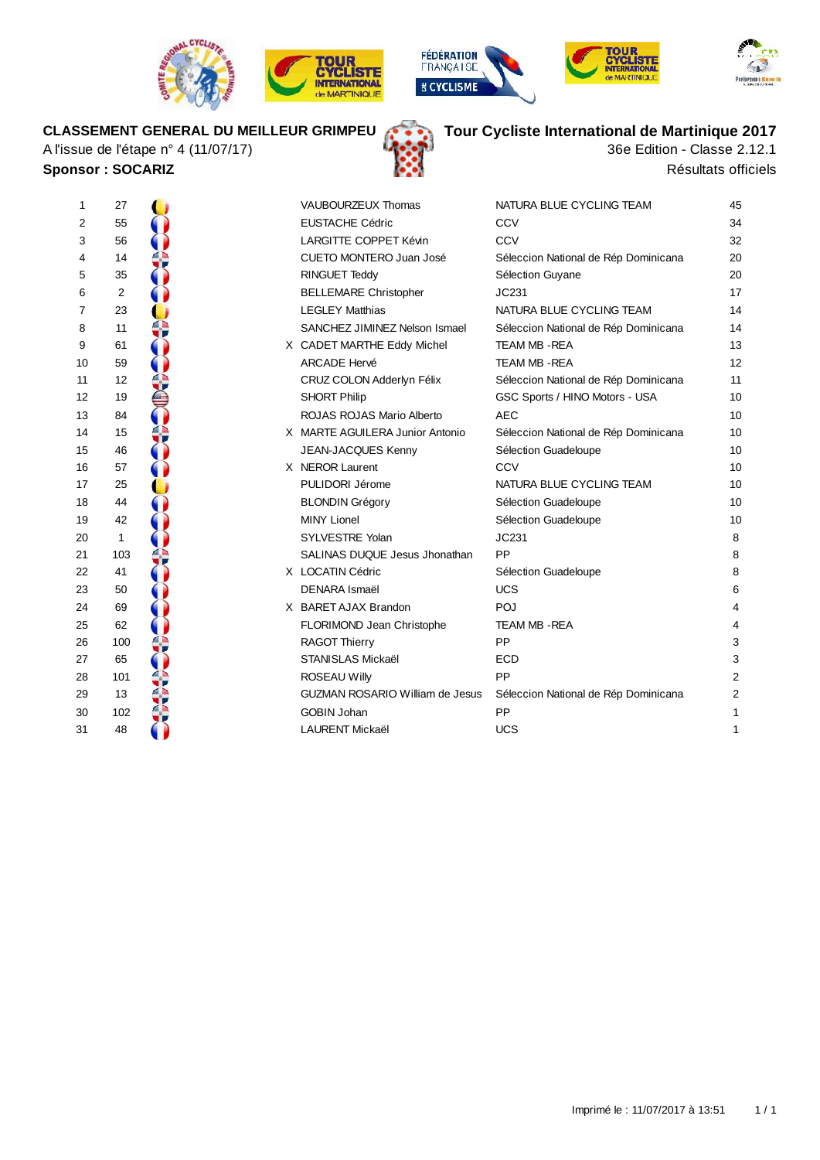









## **CLASSEMENT GENERAL DU MEILLEUR GRIMPEU**

A l'issue de l'étape n° 4 (11/07/17) **Sponsor : SOCARIZ Résultats officiels** 



# **Tour Cycliste International de Martinique 2017**

36e Edition - Classe 2.12.1

| 1  | 27  |  | VAUBOURZEUX Thomas                     | NATURA BLUE CYCLING TEAM             | 45             |
|----|-----|--|----------------------------------------|--------------------------------------|----------------|
| 2  | 55  |  | <b>EUSTACHE Cédric</b>                 | CCV                                  | 34             |
| 3  | 56  |  | LARGITTE COPPET Kévin                  | CCV                                  | 32             |
| 4  | 14  |  | CUETO MONTERO Juan José                | Séleccion National de Rép Dominicana | 20             |
| 5  | 35  |  | <b>RINGUET Teddy</b>                   | Sélection Guyane                     | 20             |
| 6  | 2   |  | <b>BELLEMARE Christopher</b>           | JC231                                | 17             |
| 7  | 23  |  | <b>LEGLEY Matthias</b>                 | NATURA BLUE CYCLING TEAM             | 14             |
| 8  | 11  |  | SANCHEZ JIMINEZ Nelson Ismael          | Séleccion National de Rép Dominicana | 14             |
| 9  | 61  |  | X CADET MARTHE Eddy Michel             | <b>TEAM MB-REA</b>                   | 13             |
| 10 | 59  |  | <b>ARCADE Hervé</b>                    | <b>TEAM MB-REA</b>                   | 12             |
| 11 | 12  |  | CRUZ COLON Adderlyn Félix              | Séleccion National de Rép Dominicana | 11             |
| 12 | 19  |  | <b>SHORT Philip</b>                    | GSC Sports / HINO Motors - USA       | 10             |
| 13 | 84  |  | ROJAS ROJAS Mario Alberto              | <b>AEC</b>                           | 10             |
| 14 | 15  |  | X MARTE AGUILERA Junior Antonio        | Séleccion National de Rép Dominicana | 10             |
| 15 | 46  |  | JEAN-JACQUES Kenny                     | Sélection Guadeloupe                 | 10             |
| 16 | 57  |  | X NEROR Laurent                        | CCV                                  | 10             |
| 17 | 25  |  | PULIDORI Jérome                        | NATURA BLUE CYCLING TEAM             | 10             |
| 18 | 44  |  | <b>BLONDIN Grégory</b>                 | Sélection Guadeloupe                 | 10             |
| 19 | 42  |  | <b>MINY Lionel</b>                     | Sélection Guadeloupe                 | 10             |
| 20 | 1   |  | SYLVESTRE Yolan                        | JC231                                | 8              |
| 21 | 103 |  | SALINAS DUQUE Jesus Jhonathan          | PP                                   | 8              |
| 22 | 41  |  | X LOCATIN Cédric                       | Sélection Guadeloupe                 | 8              |
| 23 | 50  |  | <b>DENARA Ismaël</b>                   | <b>UCS</b>                           | 6              |
| 24 | 69  |  | X BARET AJAX Brandon                   | POJ                                  | 4              |
| 25 | 62  |  | FLORIMOND Jean Christophe              | TEAM MB - REA                        | 4              |
| 26 | 100 |  | <b>RAGOT Thierry</b>                   | PP                                   | 3              |
| 27 | 65  |  | <b>STANISLAS Mickaël</b>               | <b>ECD</b>                           | 3              |
| 28 | 101 |  | <b>ROSEAU Willy</b>                    | PP                                   | $\overline{2}$ |
| 29 | 13  |  | <b>GUZMAN ROSARIO William de Jesus</b> | Séleccion National de Rép Dominicana | $\overline{2}$ |
| 30 | 102 |  | <b>GOBIN Johan</b>                     | PP                                   | 1              |
| 31 | 48  |  | <b>LAURENT Mickaël</b>                 | <b>UCS</b>                           | 1              |
|    |     |  |                                        |                                      |                |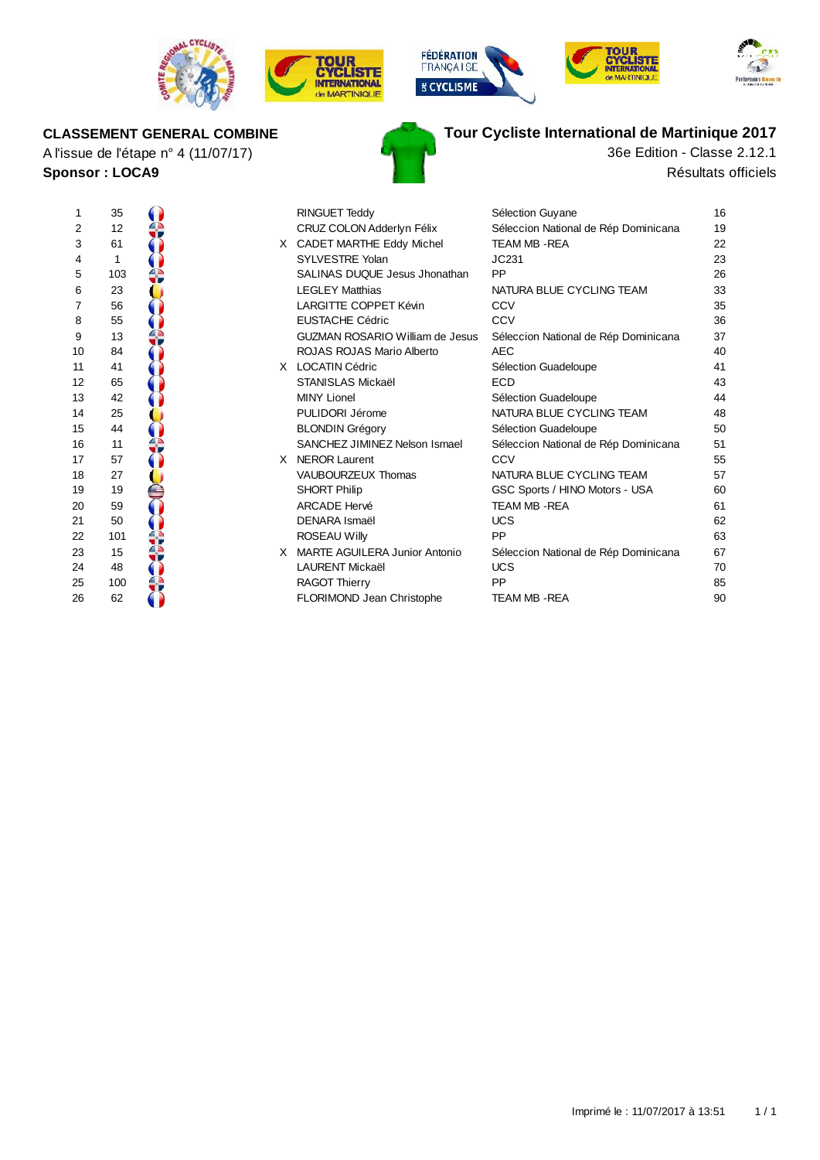

A l'issue de l'étape n° 4 (11/07/17)

**CLASSEMENT GENERAL COMBINE**

**Sponsor : LOCA9**









# **Tour Cycliste International de Martinique 2017**

Résultats officiels 36e Edition - Classe 2.12.1

| 1  | 35  |    | <b>RINGUET Teddy</b>                   | Sélection Guyane                     | 16 |
|----|-----|----|----------------------------------------|--------------------------------------|----|
| 2  | 12  |    | CRUZ COLON Adderlyn Félix              | Séleccion National de Rép Dominicana | 19 |
| 3  | 61  |    | X CADET MARTHE Eddy Michel             | <b>TEAM MB-REA</b>                   | 22 |
| 4  | 1   |    | SYLVESTRE Yolan                        | JC231                                | 23 |
| 5  | 103 |    | SALINAS DUQUE Jesus Jhonathan          | PP                                   | 26 |
| 6  | 23  |    | <b>LEGLEY Matthias</b>                 | NATURA BLUE CYCLING TEAM             | 33 |
| 7  | 56  |    | <b>LARGITTE COPPET Kévin</b>           | CCV                                  | 35 |
| 8  | 55  |    | <b>EUSTACHE Cédric</b>                 | CCV                                  | 36 |
| 9  | 13  |    | <b>GUZMAN ROSARIO William de Jesus</b> | Séleccion National de Rép Dominicana | 37 |
| 10 | 84  |    | ROJAS ROJAS Mario Alberto              | <b>AEC</b>                           | 40 |
| 11 | 41  |    | X LOCATIN Cédric                       | Sélection Guadeloupe                 | 41 |
| 12 | 65  |    | <b>STANISLAS Mickaël</b>               | <b>ECD</b>                           | 43 |
| 13 | 42  |    | <b>MINY Lionel</b>                     | Sélection Guadeloupe                 | 44 |
| 14 | 25  |    | PULIDORI Jérome                        | NATURA BLUE CYCLING TEAM             | 48 |
| 15 | 44  |    | <b>BLONDIN Grégory</b>                 | Sélection Guadeloupe                 | 50 |
| 16 | 11  |    | SANCHEZ JIMINEZ Nelson Ismael          | Séleccion National de Rép Dominicana | 51 |
| 17 | 57  |    | X NEROR Laurent                        | CCV                                  | 55 |
| 18 | 27  |    | VAUBOURZEUX Thomas                     | NATURA BLUE CYCLING TEAM             | 57 |
| 19 | 19  |    | <b>SHORT Philip</b>                    | GSC Sports / HINO Motors - USA       | 60 |
| 20 | 59  |    | <b>ARCADE Hervé</b>                    | <b>TEAM MB-REA</b>                   | 61 |
| 21 | 50  |    | <b>DENARA Ismaël</b>                   | <b>UCS</b>                           | 62 |
| 22 | 101 |    | <b>ROSEAU Willy</b>                    | PP                                   | 63 |
| 23 | 15  | X. | <b>MARTE AGUILERA Junior Antonio</b>   | Séleccion National de Rép Dominicana | 67 |
| 24 | 48  |    | <b>LAURENT Mickaël</b>                 | <b>UCS</b>                           | 70 |
| 25 | 100 |    | <b>RAGOT Thierry</b>                   | PP                                   | 85 |
| 26 | 62  |    | FLORIMOND Jean Christophe              | <b>TEAM MB-REA</b>                   | 90 |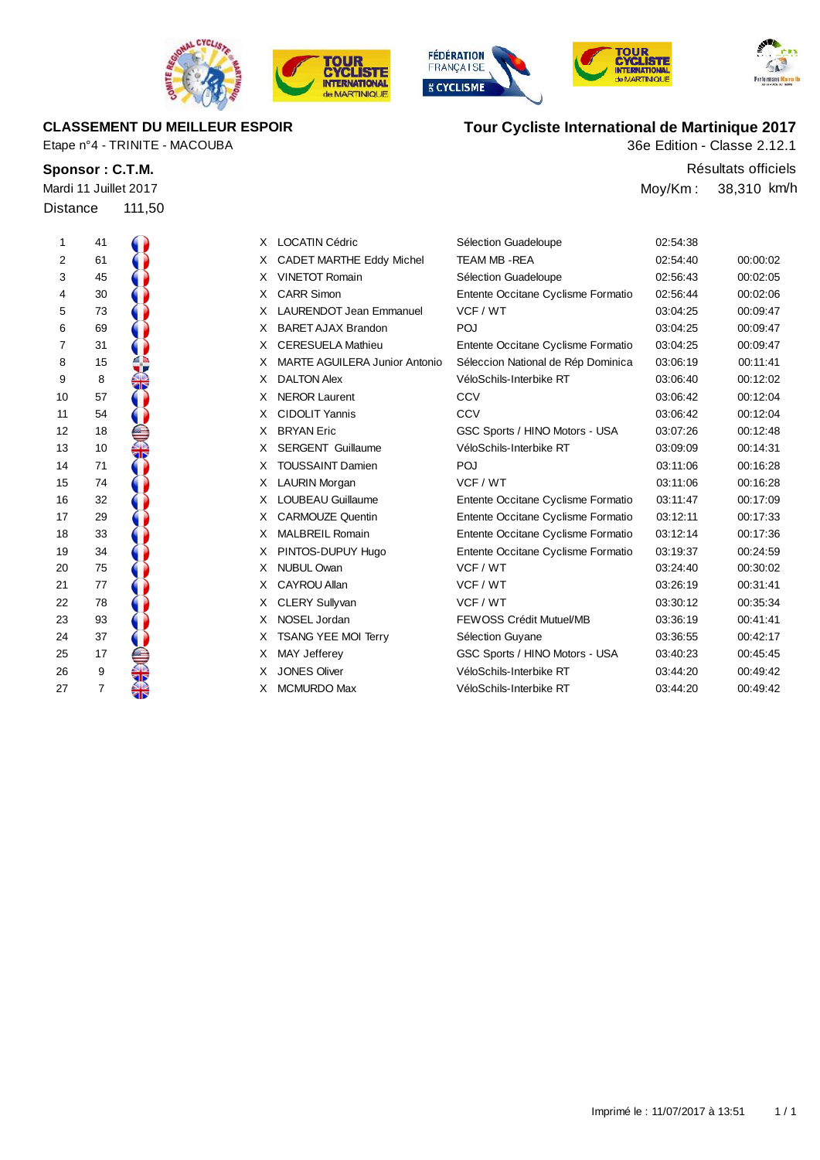







| Mardi 11 Juillet 2017 |        |
|-----------------------|--------|
| Distance              | 111,50 |

| <b>CLASSEMENT DU MEILLEUR ESPOIR</b> | Tour Cycliste International de Martinique 2017 |
|--------------------------------------|------------------------------------------------|
| Etape n°4 - TRINITE - MACOUBA        | 36e Edition - Classe 2.12.1                    |

**Sponsor : C.T.M.** Résultats officiels Moy/Km : 38,310 km/h

| Ί                       | 41 |                                                                                                                                                                                                                                |
|-------------------------|----|--------------------------------------------------------------------------------------------------------------------------------------------------------------------------------------------------------------------------------|
| $\overline{\mathbf{c}}$ | 61 |                                                                                                                                                                                                                                |
| 3                       | 45 |                                                                                                                                                                                                                                |
| 4                       | 30 |                                                                                                                                                                                                                                |
| 5                       | 73 |                                                                                                                                                                                                                                |
|                         | 69 |                                                                                                                                                                                                                                |
| 6<br>7                  | 31 |                                                                                                                                                                                                                                |
| 8                       | 15 |                                                                                                                                                                                                                                |
| 9                       | 8  |                                                                                                                                                                                                                                |
| 10                      | 57 |                                                                                                                                                                                                                                |
| 11                      | 54 |                                                                                                                                                                                                                                |
| 12                      | 18 |                                                                                                                                                                                                                                |
| 13                      | 10 |                                                                                                                                                                                                                                |
| 14                      | 71 |                                                                                                                                                                                                                                |
| 15                      | 74 | Contract of the contract of the contract of the contract of the contract of the contract of the contract of the contract of the contract of the contract of the contract of the contract of the contract of the contract of th |
| 16                      | 32 |                                                                                                                                                                                                                                |
| 17                      | 29 |                                                                                                                                                                                                                                |
| 18                      | 33 |                                                                                                                                                                                                                                |
| 19                      | 34 |                                                                                                                                                                                                                                |
| 20                      | 75 |                                                                                                                                                                                                                                |
| 21                      | 77 |                                                                                                                                                                                                                                |
| $\overline{22}$         | 78 |                                                                                                                                                                                                                                |
|                         | 93 |                                                                                                                                                                                                                                |
| 23<br>24                | 37 |                                                                                                                                                                                                                                |
| 25<br>26                | 17 |                                                                                                                                                                                                                                |
|                         | 9  |                                                                                                                                                                                                                                |
| 27                      | 7  |                                                                                                                                                                                                                                |

| 1  | 41 | X. | <b>LOCATIN Cédric</b>                | Sélection Guadeloupe               | 02:54:38 |          |
|----|----|----|--------------------------------------|------------------------------------|----------|----------|
| 2  | 61 | X. | <b>CADET MARTHE Eddy Michel</b>      | <b>TEAM MB - REA</b>               | 02:54:40 | 00:00:02 |
| 3  | 45 | X. | <b>VINETOT Romain</b>                | Sélection Guadeloupe               | 02:56:43 | 00:02:05 |
| 4  | 30 | X. | <b>CARR Simon</b>                    | Entente Occitane Cyclisme Formatio | 02:56:44 | 00:02:06 |
| 5  | 73 | X. | <b>LAURENDOT Jean Emmanuel</b>       | VCF / WT                           | 03:04:25 | 00:09:47 |
| 6  | 69 | X  | <b>BARET AJAX Brandon</b>            | POJ                                | 03:04:25 | 00:09:47 |
| 7  | 31 | X. | <b>CERESUELA Mathieu</b>             | Entente Occitane Cyclisme Formatio | 03:04:25 | 00:09:47 |
| 8  | 15 | X  | <b>MARTE AGUILERA Junior Antonio</b> | Séleccion National de Rép Dominica | 03:06:19 | 00:11:41 |
| 9  | 8  | X  | <b>DALTON Alex</b>                   | VéloSchils-Interbike RT            | 03:06:40 | 00:12:02 |
| 10 | 57 | X. | <b>NEROR Laurent</b>                 | CCV                                | 03:06:42 | 00:12:04 |
| 11 | 54 | X. | <b>CIDOLIT Yannis</b>                | CCV                                | 03:06:42 | 00:12:04 |
| 12 | 18 | X  | <b>BRYAN Eric</b>                    | GSC Sports / HINO Motors - USA     | 03:07:26 | 00:12:48 |
| 13 | 10 | X. | <b>SERGENT Guillaume</b>             | VéloSchils-Interbike RT            | 03:09:09 | 00:14:31 |
| 14 | 71 | X. | <b>TOUSSAINT Damien</b>              | POJ                                | 03:11:06 | 00:16:28 |
| 15 | 74 | X. | LAURIN Morgan                        | VCF / WT                           | 03:11:06 | 00:16:28 |
| 16 | 32 | X. | <b>LOUBEAU Guillaume</b>             | Entente Occitane Cyclisme Formatio | 03:11:47 | 00:17:09 |
| 17 | 29 | X. | <b>CARMOUZE Quentin</b>              | Entente Occitane Cyclisme Formatio | 03:12:11 | 00:17:33 |
| 18 | 33 | X. | <b>MALBREIL Romain</b>               | Entente Occitane Cyclisme Formatio | 03:12:14 | 00:17:36 |
| 19 | 34 | X. | PINTOS-DUPUY Hugo                    | Entente Occitane Cyclisme Formatio | 03:19:37 | 00:24:59 |
| 20 | 75 | X. | <b>NUBUL Owan</b>                    | VCF / WT                           | 03:24:40 | 00:30:02 |
| 21 | 77 | X. | CAYROU Allan                         | VCF / WT                           | 03:26:19 | 00:31:41 |
| 22 | 78 | X. | <b>CLERY Sullyvan</b>                | VCF / WT                           | 03:30:12 | 00:35:34 |
| 23 | 93 | X. | NOSEL Jordan                         | <b>FEWOSS Crédit Mutuel/MB</b>     | 03:36:19 | 00:41:41 |
| 24 | 37 | X. | <b>TSANG YEE MOI Terry</b>           | Sélection Guyane                   | 03:36:55 | 00:42:17 |
| 25 | 17 | x. | MAY Jefferey                         | GSC Sports / HINO Motors - USA     | 03:40:23 | 00:45:45 |
| 26 | 9  | X. | <b>JONES Oliver</b>                  | VéloSchils-Interbike RT            | 03:44:20 | 00:49:42 |

27 7 X MCMURDO Max VéloSchils-Interbike RT 03:44:20 00:49:42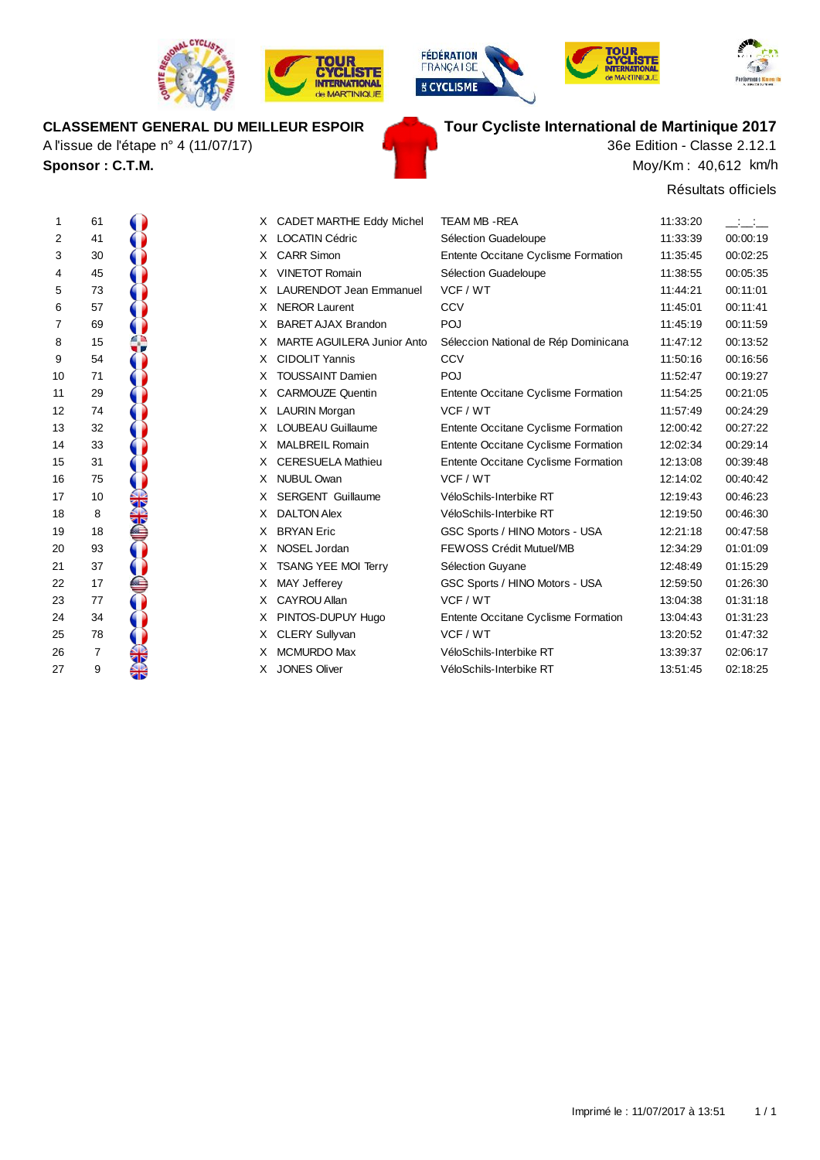

A l'issue de l'étape n° 4 (11/07/17)

**Sponsor : C.T.M.**



**TOUR** 





# **CLASSEMENT GENERAL DU MEILLEUR ESPOIR Tour Cycliste International de Martinique 2017**

Moy/Km : 40,612 km/h 36e Edition - Classe 2.12.1

Résultats officiels

| 1                          | 61                                           |                                                                          |
|----------------------------|----------------------------------------------|--------------------------------------------------------------------------|
| $\overline{\mathbf{c}}$    | 41                                           |                                                                          |
|                            | 30                                           |                                                                          |
|                            | 45                                           |                                                                          |
| 34567                      | 73                                           |                                                                          |
|                            | 57                                           |                                                                          |
|                            | 69                                           |                                                                          |
| 8                          | 15                                           |                                                                          |
| 9                          | 54                                           |                                                                          |
| 10                         | 71                                           |                                                                          |
| 11                         |                                              |                                                                          |
| 12                         | 29<br>74                                     |                                                                          |
| 13                         | 32                                           |                                                                          |
| $\frac{14}{5}$             |                                              |                                                                          |
| 15                         | 33<br>31<br>75                               |                                                                          |
| 16                         |                                              |                                                                          |
| 17                         | 10                                           |                                                                          |
| 18                         | 8                                            |                                                                          |
| 19                         | 18                                           |                                                                          |
| 20                         | 93                                           |                                                                          |
| 21                         | 37                                           |                                                                          |
|                            | 17                                           |                                                                          |
|                            | 77                                           |                                                                          |
| 22<br>23<br>24<br>25<br>26 | 34                                           |                                                                          |
|                            |                                              |                                                                          |
|                            | $\begin{array}{c} 78 \\ 7 \\ -1 \end{array}$ |                                                                          |
| 27                         | 9                                            | <b>CONTRACTOR</b> CONTRACTOR CONTRACTOR CONTRACTOR CONTRACTOR CONTRACTOR |
|                            |                                              |                                                                          |

|    |                |     |    |                                |                                      |          | טשושגט טוווטוטו |
|----|----------------|-----|----|--------------------------------|--------------------------------------|----------|-----------------|
| 1  | 61             |     |    | X CADET MARTHE Eddy Michel     | <b>TEAM MB-REA</b>                   | 11:33:20 |                 |
| 2  | 41             |     | X. | <b>LOCATIN Cédric</b>          | Sélection Guadeloupe                 | 11:33:39 | 00:00:19        |
| 3  | 30             |     |    | X CARR Simon                   | Entente Occitane Cyclisme Formation  | 11:35:45 | 00:02:25        |
| 4  | 45             |     | X  | <b>VINETOT Romain</b>          | Sélection Guadeloupe                 | 11:38:55 | 00:05:35        |
| 5  | 73             |     |    | <b>LAURENDOT Jean Emmanuel</b> | VCF / WT                             | 11:44:21 | 00:11:01        |
| 6  | 57             |     | X. | <b>NEROR Laurent</b>           | CCV                                  | 11:45:01 | 00:11:41        |
| 7  | 69             |     | x  | <b>BARET AJAX Brandon</b>      | POJ                                  | 11:45:19 | 00:11:59        |
| 8  | 15             |     |    | MARTE AGUILERA Junior Anto     | Séleccion National de Rép Dominicana | 11:47:12 | 00:13:52        |
| 9  | 54             |     | X. | <b>CIDOLIT Yannis</b>          | <b>CCV</b>                           | 11:50:16 | 00:16:56        |
| 10 | 71             |     |    | <b>TOUSSAINT Damien</b>        | POJ                                  | 11:52:47 | 00:19:27        |
| 11 | 29             |     | X. | <b>CARMOUZE Quentin</b>        | Entente Occitane Cyclisme Formation  | 11:54:25 | 00:21:05        |
| 12 | 74             |     | X  | <b>LAURIN Morgan</b>           | VCF / WT                             | 11:57:49 | 00:24:29        |
| 13 | 32             |     |    | <b>LOUBEAU Guillaume</b>       | Entente Occitane Cyclisme Formation  | 12:00:42 | 00:27:22        |
| 14 | 33             |     | X  | <b>MALBREIL Romain</b>         | Entente Occitane Cyclisme Formation  | 12:02:34 | 00:29:14        |
| 15 | 31             |     | X. | <b>CERESUELA Mathieu</b>       | Entente Occitane Cyclisme Formation  | 12:13:08 | 00:39:48        |
| 16 | 75             |     |    | X NUBUL Owan                   | VCF / WT                             | 12:14:02 | 00:40:42        |
| 17 | 10             |     |    | <b>SERGENT Guillaume</b>       | VéloSchils-Interbike RT              | 12:19:43 | 00:46:23        |
| 18 | 8              |     | X. | <b>DALTON Alex</b>             | VéloSchils-Interbike RT              | 12:19:50 | 00:46:30        |
| 19 | 18             |     |    | <b>BRYAN</b> Eric              | GSC Sports / HINO Motors - USA       | 12:21:18 | 00:47:58        |
| 20 | 93             |     | X  | NOSEL Jordan                   | FEWOSS Crédit Mutuel/MB              | 12:34:29 | 01:01:09        |
| 21 | 37             |     | X. | <b>TSANG YEE MOI Terry</b>     | Sélection Guyane                     | 12:48:49 | 01:15:29        |
| 22 | 17             |     | X  | <b>MAY Jefferey</b>            | GSC Sports / HINO Motors - USA       | 12:59:50 | 01:26:30        |
| 23 | 77             |     | x  | CAYROU Allan                   | VCF / WT                             | 13:04:38 | 01:31:18        |
| 24 | 34             |     |    | PINTOS-DUPUY Hugo              | Entente Occitane Cyclisme Formation  | 13:04:43 | 01:31:23        |
| 25 | 78             |     | X. | <b>CLERY Sullyvan</b>          | VCF / WT                             | 13:20:52 | 01:47:32        |
| 26 | $\overline{7}$ |     |    | <b>MCMURDO Max</b>             | VéloSchils-Interbike RT              | 13:39:37 | 02:06:17        |
| 27 | 9              | ৰাস | X. | <b>JONES Oliver</b>            | VéloSchils-Interbike RT              | 13.51.45 | 02:18:25        |
|    |                |     |    |                                |                                      |          |                 |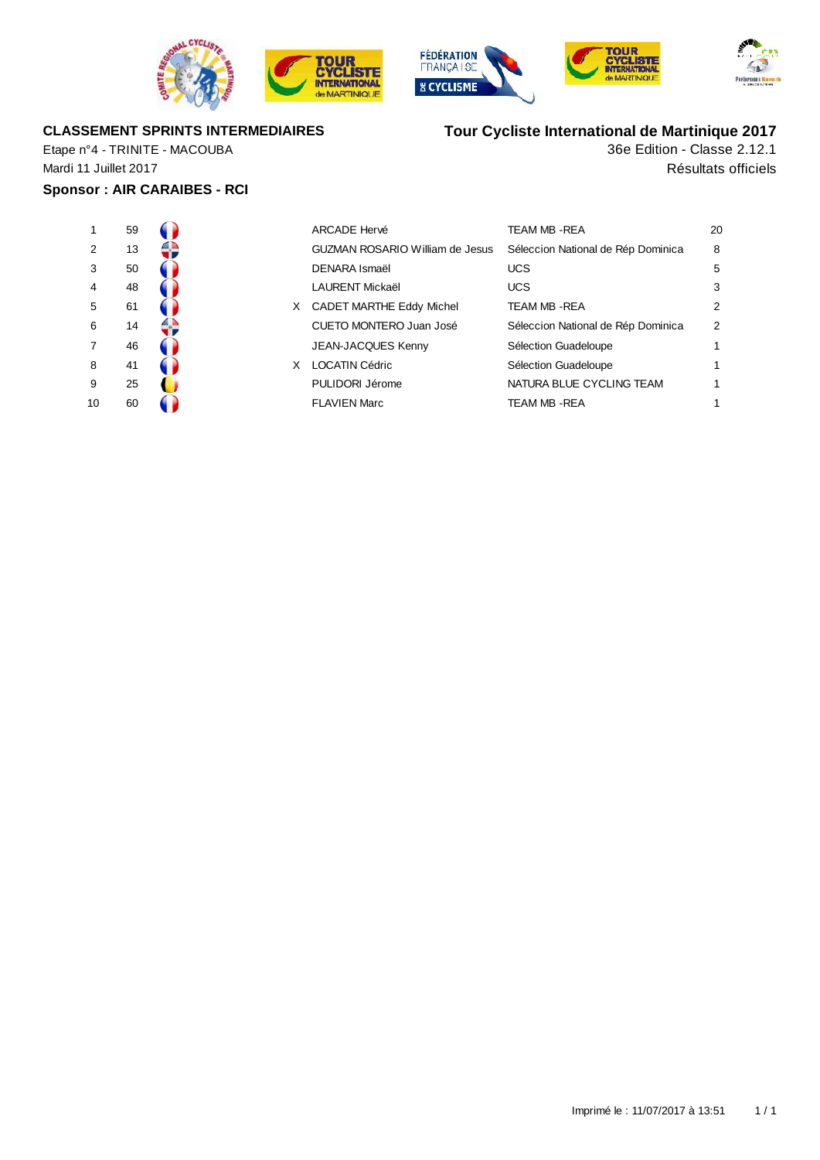







### **CLASSEMENT SPRINTS INTERMEDIAIRES**

Etape n°4 - TRINITE - MACOUBA Mardi 11 Juillet 2017

### **Sponsor : AIR CARAIBES - RCI**

| 1              | 59 |  |
|----------------|----|--|
| $\overline{2}$ | 13 |  |
| 3              | 50 |  |
| 4              | 48 |  |
| 5              | 61 |  |
| 6              | 14 |  |
| 7              | 46 |  |
| 8              | 41 |  |
| 9              | 25 |  |
| 1∩             | RN |  |

| 1  | 59 |    | <b>ARCADE Hervé</b>                    | TEAM MB - REA                      | 20             |
|----|----|----|----------------------------------------|------------------------------------|----------------|
| 2  | 13 |    | <b>GUZMAN ROSARIO William de Jesus</b> | Séleccion National de Rép Dominica | 8              |
| 3  | 50 |    | DENARA Ismaël                          | <b>UCS</b>                         | 5              |
| 4  | 48 |    | <b>LAURENT Mickaël</b>                 | <b>UCS</b>                         | 3              |
| 5. | 61 | X. | <b>CADET MARTHE Eddy Michel</b>        | <b>TEAM MB -REA</b>                | $\overline{2}$ |
| 6  | 14 |    | CUETO MONTERO Juan José                | Séleccion National de Rép Dominica | $\overline{2}$ |
| 7  | 46 |    | <b>JEAN-JACQUES Kenny</b>              | Sélection Guadeloupe               | 1              |
| 8  | 41 | x  | <b>LOCATIN Cédric</b>                  | Sélection Guadeloupe               | 1              |
| 9  | 25 |    | PULIDORI Jérome                        | NATURA BLUE CYCLING TEAM           | 1              |
| 10 | 60 |    | <b>FLAVIEN Marc</b>                    | TEAM MB - REA                      | 1              |
|    |    |    |                                        |                                    |                |

# **Tour Cycliste International de Martinique 2017**

Résultats officiels 36e Edition - Classe 2.12.1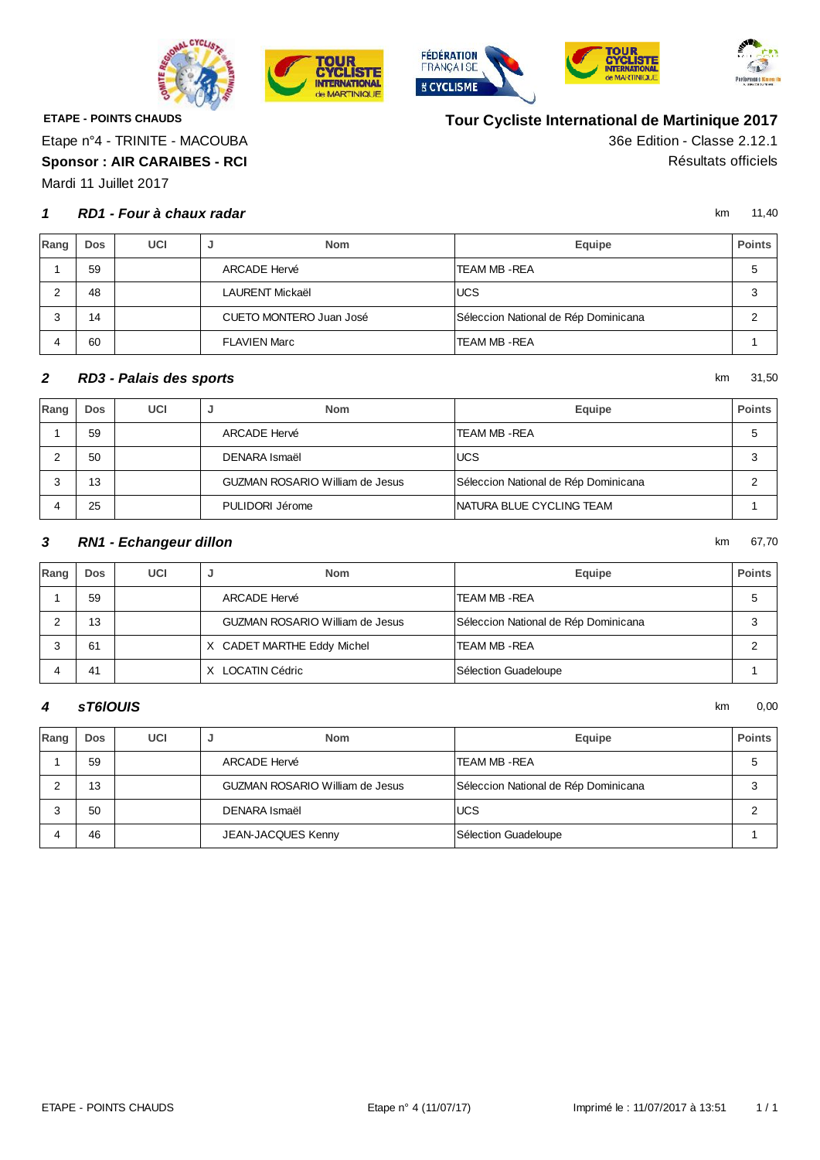

**TOUR CYCLISTE**<br>INTERNATIONAL

**Je MARTINIQUE** 





**Tour Cycliste International de Martinique 2017**



**ETAPE - POINTS CHAUDS**

Etape n°4 - TRINITE - MACOUBA

**Sponsor : AIR CARAIBES - RCI** Résultats officiels

Mardi 11 Juillet 2017

#### **1** km 11,40 **RD1 - Four à chaux radar**

36e Edition - Classe 2.12.1

| Rang | <b>Dos</b> | UCI | <b>Nom</b><br>ы         | Equipe                               | <b>Points</b> |
|------|------------|-----|-------------------------|--------------------------------------|---------------|
|      | 59         |     | ARCADE Hervé            | TEAM MB -REA                         | 5             |
|      | 48         |     | LAURENT Mickaël         | <b>UCS</b>                           | 3             |
|      | 14         |     | CUETO MONTERO Juan José | Séleccion National de Rép Dominicana |               |
|      | 60         |     | <b>FLAVIEN Marc</b>     | TEAM MB -REA                         |               |

#### **2** km 31,50 **RD3 - Palais des sports**

| Rang | Dos | UCI | <b>Nom</b>                             | Equipe                               | <b>Points</b> |
|------|-----|-----|----------------------------------------|--------------------------------------|---------------|
|      | 59  |     | ARCADE Hervé                           | TEAM MB -REA                         |               |
|      | 50  |     | DENARA Ismaël                          | <b>UCS</b>                           | ◠<br>×.       |
|      | 13  |     | <b>GUZMAN ROSARIO William de Jesus</b> | Séleccion National de Rép Dominicana |               |
|      | 25  |     | PULIDORI Jérome                        | INATURA BLUE CYCLING TEAM            |               |

#### **3** km 67,70 **RN1 - Echangeur dillon**

| Rang | <b>Dos</b> | UCI | <b>Nom</b>                             | Equipe                               | <b>Points</b> |
|------|------------|-----|----------------------------------------|--------------------------------------|---------------|
|      | 59         |     | ARCADE Hervé                           | TEAM MB - REA                        |               |
|      | 13         |     | <b>GUZMAN ROSARIO William de Jesus</b> | Séleccion National de Rép Dominicana |               |
|      | 61         |     | X CADET MARTHE Eddy Michel             | TEAM MB -REA                         |               |
|      | 41         |     | LOCATIN Cédric<br>X.                   | Sélection Guadeloupe                 |               |

#### $\blacksquare$  **5761OUIS** km 0,00 **sT6lOUIS**

| Rang | Dos | UCI | <b>Nom</b><br>ັ                        | Equipe                               | <b>Points</b> |
|------|-----|-----|----------------------------------------|--------------------------------------|---------------|
|      | 59  |     | ARCADE Hervé                           | TEAM MB -REA                         |               |
|      | 13  |     | <b>GUZMAN ROSARIO William de Jesus</b> | Séleccion National de Rép Dominicana |               |
|      | 50  |     | DENARA Ismaël                          | <b>UCS</b>                           |               |
|      | 46  |     | JEAN-JACQUES Kenny                     | Sélection Guadeloupe                 |               |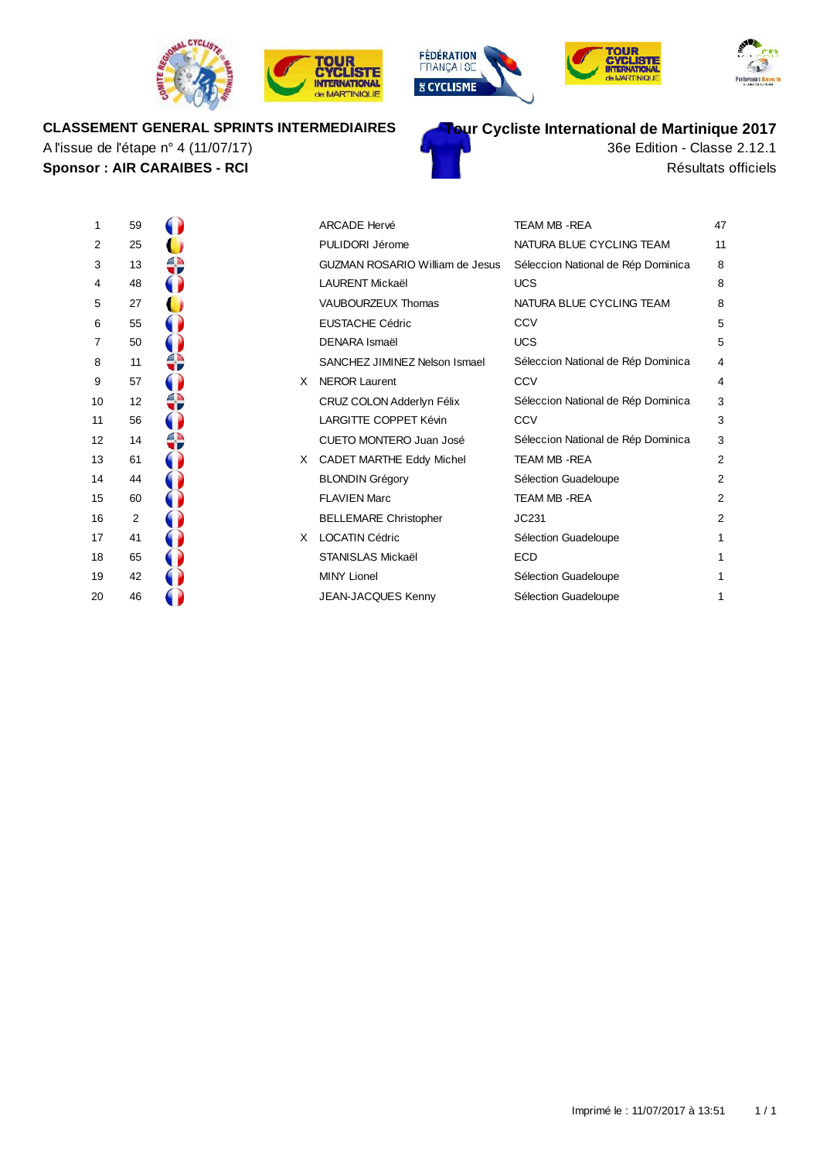







### **CLASSEMENT GENERAL SPRINTS INTERMEDIAIRES**

**Sponsor : AIR CARAIBES - RCI** Résultats officiels A l'issue de l'étape n° 4 (11/07/17)



36e Edition - Classe 2.12.1

| ı                       | ວອ |  |
|-------------------------|----|--|
| $\overline{\mathbf{c}}$ | 25 |  |
| 3                       | 13 |  |
| $\overline{\mathbf{4}}$ | 48 |  |
| 5                       | 27 |  |
| 6                       | 55 |  |
| $\overline{7}$          | 50 |  |
| 8                       | 11 |  |
| 9                       | 57 |  |
| 10                      | 12 |  |
| 11                      | 56 |  |
| 12                      | 14 |  |
| 13                      | 61 |  |
| 14                      | 44 |  |
| 15                      | 60 |  |
| 16                      | 2  |  |
| 17                      | 41 |  |
| 18                      | 65 |  |
| 19                      | 42 |  |
| 20                      | 46 |  |
|                         |    |  |

| 1  | 59             |    | <b>ARCADE Hervé</b>                    | <b>TEAM MB - REA</b>               | 47             |
|----|----------------|----|----------------------------------------|------------------------------------|----------------|
| 2  | 25             |    | PULIDORI Jérome                        | NATURA BLUE CYCLING TEAM           | 11             |
| 3  | 13             |    | <b>GUZMAN ROSARIO William de Jesus</b> | Séleccion National de Rép Dominica | 8              |
| 4  | 48             |    | <b>LAURENT Mickaël</b>                 | <b>UCS</b>                         | 8              |
| 5  | 27             |    | <b>VAUBOURZEUX Thomas</b>              | NATURA BLUE CYCLING TEAM           | 8              |
| 6  | 55             |    | <b>EUSTACHE Cédric</b>                 | CCV                                | 5              |
| 7  | 50             |    | DENARA Ismaël                          | <b>UCS</b>                         | 5              |
| 8  | 11             |    | SANCHEZ JIMINEZ Nelson Ismael          | Séleccion National de Rép Dominica | 4              |
| 9  | 57             | X. | <b>NEROR Laurent</b>                   | CCV                                | 4              |
| 10 | 12             |    | CRUZ COLON Adderlyn Félix              | Séleccion National de Rép Dominica | 3              |
| 11 | 56             |    | <b>LARGITTE COPPET Kévin</b>           | CCV                                | 3              |
| 12 | 14             |    | <b>CUETO MONTERO Juan José</b>         | Séleccion National de Rép Dominica | 3              |
| 13 | 61             | X. | <b>CADET MARTHE Eddy Michel</b>        | <b>TEAM MB - REA</b>               | 2              |
| 14 | 44             |    | <b>BLONDIN Grégory</b>                 | Sélection Guadeloupe               | $\overline{2}$ |
| 15 | 60             |    | <b>FLAVIEN Marc</b>                    | TEAM MB-REA                        | $\overline{2}$ |
| 16 | $\overline{2}$ |    | <b>BELLEMARE Christopher</b>           | JC231                              | $\overline{2}$ |
| 17 | 41             | X. | <b>LOCATIN Cédric</b>                  | Sélection Guadeloupe               | 1              |
| 18 | 65             |    | <b>STANISLAS Mickaël</b>               | <b>ECD</b>                         | 1              |
| 19 | 42             |    | <b>MINY Lionel</b>                     | Sélection Guadeloupe               | 1              |
| 20 | 46             |    | <b>JEAN-JACQUES Kenny</b>              | Sélection Guadeloupe               | 1              |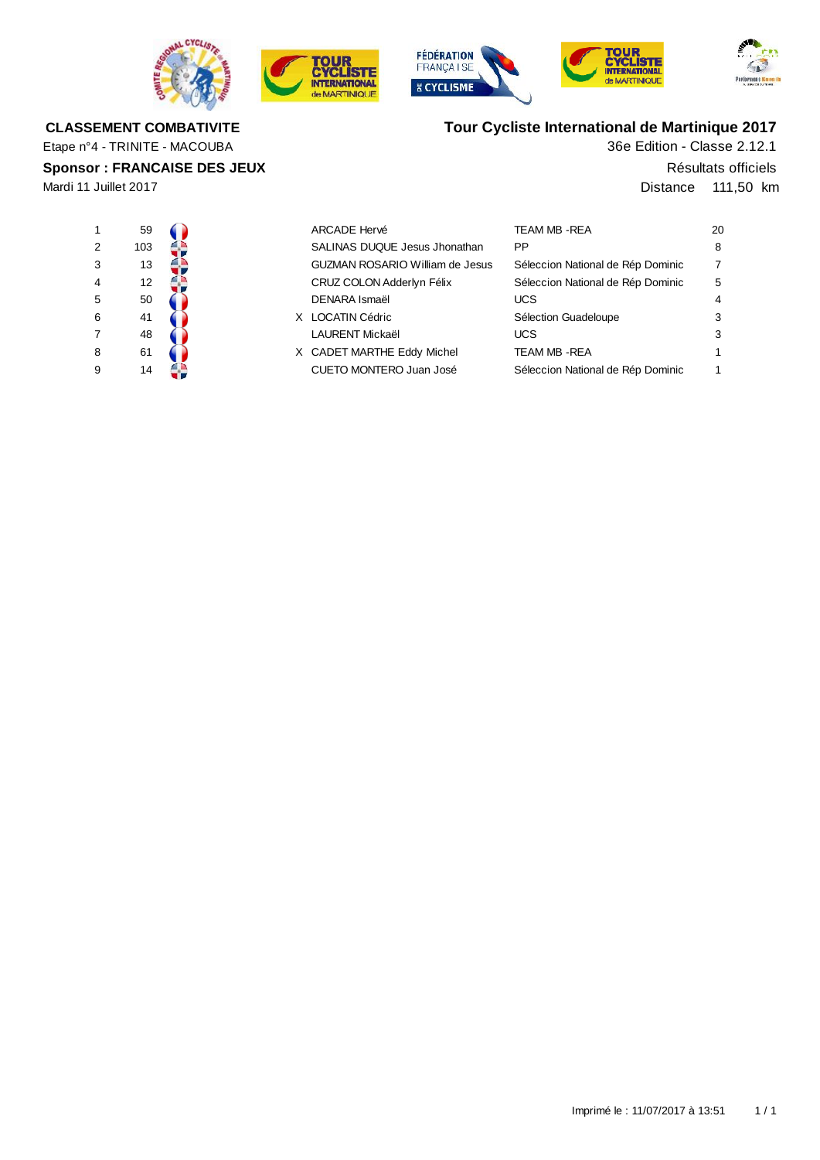









# **Tour Cycliste International de Martinique 2017**

36e Edition - Classe 2.12.1

Distance 111,50 km Résultats officiels

| 1              | 59             |  |
|----------------|----------------|--|
| $\overline{2}$ | 103            |  |
| 3              | 13             |  |
| 4              | 12             |  |
| 5              | 50             |  |
| 6              | 41             |  |
| $\overline{7}$ | 48             |  |
| 8              | 61             |  |
| C              | $\overline{A}$ |  |

Etape n°4 - TRINITE - MACOUBA

**CLASSEMENT COMBATIVITE**

**Sponsor : FRANCAISE DES JEUX**

Mardi 11 Juillet 2017

|                | 59  |  | <b>ARCADE Hervé</b>                    | TEAM MB - REA                     | 20 |
|----------------|-----|--|----------------------------------------|-----------------------------------|----|
| $\overline{2}$ | 103 |  | SALINAS DUQUE Jesus Jhonathan          | <b>PP</b>                         | 8  |
| 3              | 13  |  | <b>GUZMAN ROSARIO William de Jesus</b> | Séleccion National de Rép Dominic | 7  |
| 4              | 12  |  | CRUZ COLON Adderlyn Félix              | Séleccion National de Rép Dominic | 5  |
| 5              | 50  |  | DENARA Ismaël                          | <b>UCS</b>                        | 4  |
| 6              | 41  |  | X LOCATIN Cédric                       | Sélection Guadeloupe              | 3  |
|                | 48  |  | <b>LAURENT Mickaël</b>                 | <b>UCS</b>                        | 3  |
| 8              | 61  |  | X CADET MARTHE Eddy Michel             | <b>TEAM MB - REA</b>              |    |
| 9              | 14  |  | CUETO MONTERO Juan José                | Séleccion National de Rép Dominic |    |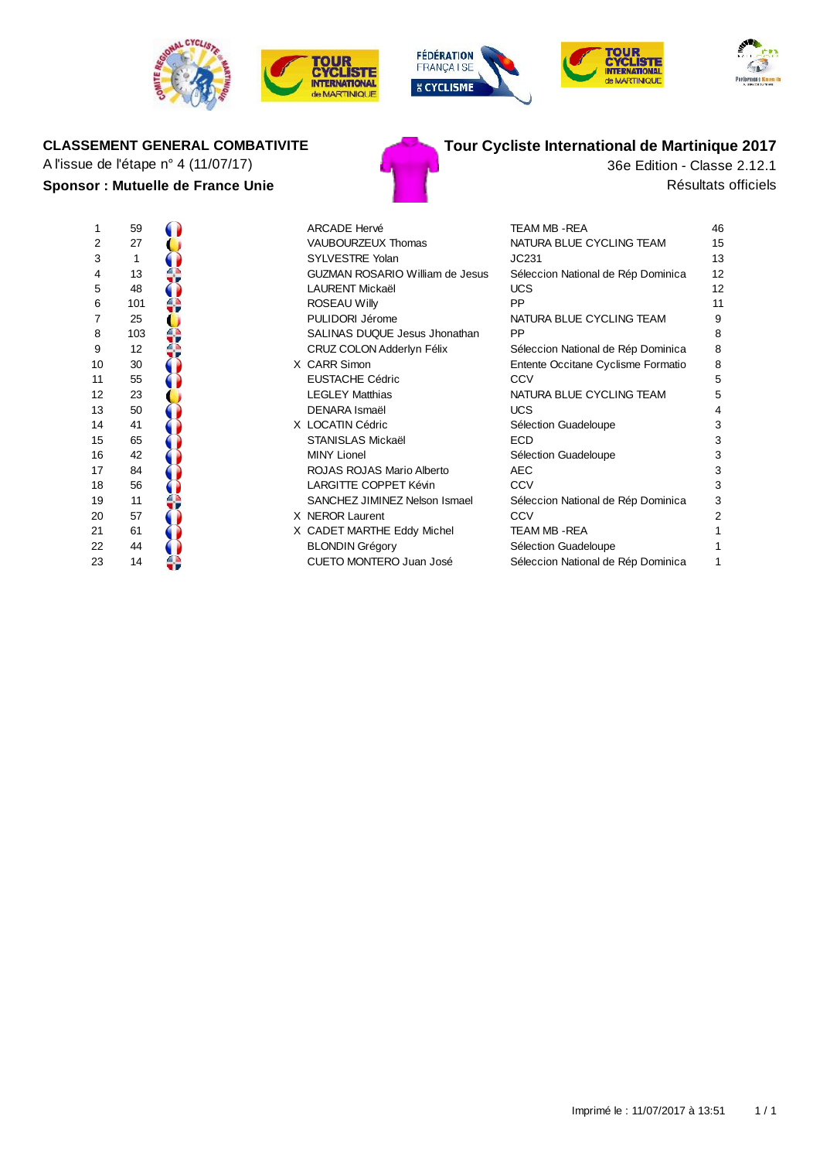









# A l'issue de l'étape n° 4 (11/07/17) 36e Edition - Classe 2.12.1

# **Sponsor : Mutuelle de France Unie** Résultats officiels



# **CLASSEMENT GENERAL COMBATIVITE Tour Cycliste International de Martinique 2017**

| Ί                       | ჂႸ  |                                                                                                                                                                                                                                      |
|-------------------------|-----|--------------------------------------------------------------------------------------------------------------------------------------------------------------------------------------------------------------------------------------|
| $\overline{\mathbf{c}}$ | 27  |                                                                                                                                                                                                                                      |
|                         | 1   |                                                                                                                                                                                                                                      |
| 34567                   | 13  |                                                                                                                                                                                                                                      |
|                         | 48  |                                                                                                                                                                                                                                      |
|                         | 101 |                                                                                                                                                                                                                                      |
|                         | 25  |                                                                                                                                                                                                                                      |
| 8                       | 103 |                                                                                                                                                                                                                                      |
| 9                       | 12  |                                                                                                                                                                                                                                      |
| 10                      | 30  |                                                                                                                                                                                                                                      |
| 11                      | 55  |                                                                                                                                                                                                                                      |
| 12                      | 23  |                                                                                                                                                                                                                                      |
| 13                      | 50  |                                                                                                                                                                                                                                      |
| 14                      | 41  |                                                                                                                                                                                                                                      |
| 15                      | 65  |                                                                                                                                                                                                                                      |
| 16                      | 42  |                                                                                                                                                                                                                                      |
| 17                      | 84  |                                                                                                                                                                                                                                      |
| 18                      | 56  |                                                                                                                                                                                                                                      |
| 19                      | 11  |                                                                                                                                                                                                                                      |
| 20                      | 57  | <b>Contract of the second contract of the second second contract of the second second second second second second second second second second second second second second second second second second second second second secon</b> |
|                         | 61  |                                                                                                                                                                                                                                      |
| 21<br>22                | 44  |                                                                                                                                                                                                                                      |
|                         |     |                                                                                                                                                                                                                                      |

|    | 59                |  | <b>ARCADE Hervé</b>                    | TEAM MB - REA                      | 46 |
|----|-------------------|--|----------------------------------------|------------------------------------|----|
| 2  | 27                |  | VAUBOURZEUX Thomas                     | NATURA BLUE CYCLING TEAM           | 15 |
| 3  |                   |  | <b>SYLVESTRE Yolan</b>                 | JC231                              | 13 |
| 4  | 13                |  | <b>GUZMAN ROSARIO William de Jesus</b> | Séleccion National de Rép Dominica | 12 |
| 5  | 48                |  | <b>LAURENT Mickaël</b>                 | <b>UCS</b>                         | 12 |
| 6  | 101               |  | <b>ROSEAU Willy</b>                    | PP                                 | 11 |
| 7  | 25                |  | PULIDORI Jérome                        | NATURA BLUE CYCLING TEAM           | 9  |
| 8  | 103               |  | SALINAS DUQUE Jesus Jhonathan          | <b>PP</b>                          | 8  |
| 9  | $12 \overline{ }$ |  | CRUZ COLON Adderlyn Félix              | Séleccion National de Rép Dominica | 8  |
| 10 | 30                |  | X CARR Simon                           | Entente Occitane Cyclisme Formatio | 8  |
| 11 | 55                |  | <b>EUSTACHE Cédric</b>                 | <b>CCV</b>                         | 5  |
| 12 | 23                |  | <b>LEGLEY Matthias</b>                 | NATURA BLUE CYCLING TEAM           | 5  |
| 13 | 50                |  | <b>DENARA Ismaël</b>                   | <b>UCS</b>                         | 4  |
| 14 | 41                |  | X LOCATIN Cédric                       | Sélection Guadeloupe               | 3  |
| 15 | 65                |  | STANISLAS Mickaël                      | <b>ECD</b>                         | 3  |
| 16 | 42                |  | <b>MINY Lionel</b>                     | Sélection Guadeloupe               | 3  |
| 17 | 84                |  | ROJAS ROJAS Mario Alberto              | <b>AEC</b>                         | 3  |
| 18 | 56                |  | LARGITTE COPPET Kévin                  | CCV                                | 3  |
| 19 | 11                |  | SANCHEZ JIMINEZ Nelson Ismael          | Séleccion National de Rép Dominica | 3  |
| 20 | 57                |  | X NEROR Laurent                        | CCV                                | 2  |
| 21 | 61                |  | X CADET MARTHE Eddy Michel             | TEAM MB - REA                      |    |
| 22 | 44                |  | <b>BLONDIN Grégory</b>                 | Sélection Guadeloupe               |    |
| 23 | 14                |  | CUETO MONTERO Juan José                | Séleccion National de Rép Dominica |    |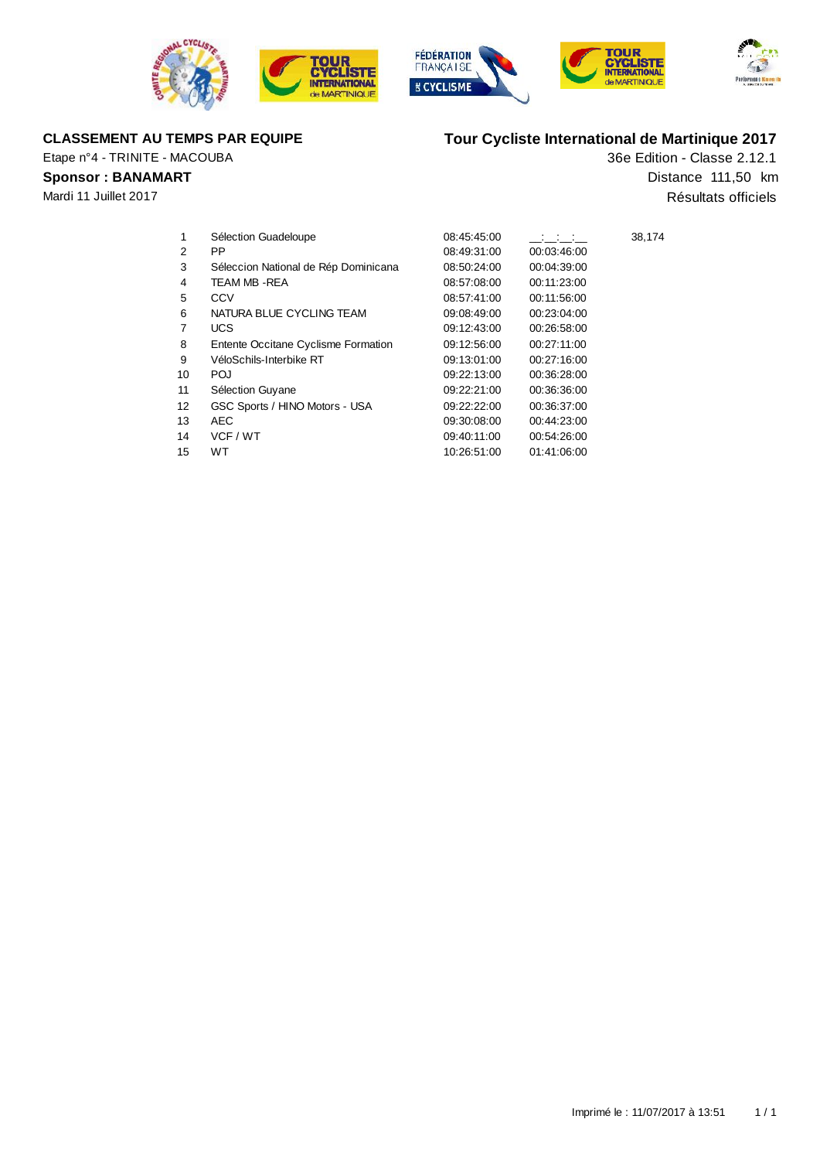







Etape n°4 - TRINITE - MACOUBA

### **Sponsor : BANAMART**

Mardi 11 Juillet 2017

# **CLASSEMENT AU TEMPS PAR EQUIPE Tour Cycliste International de Martinique 2017**

36e Edition - Classe 2.12.1 Résultats officiels Distance 111,50 km

| 1  | Sélection Guadeloupe                 | 08:45:45:00 | <b>Contractor</b> | 38,174 |
|----|--------------------------------------|-------------|-------------------|--------|
| 2  | PP.                                  | 08:49:31:00 | 00.03.46.00       |        |
| 3  | Séleccion National de Rép Dominicana | 08:50:24:00 | 00:04:39:00       |        |
| 4  | TEAM MB-REA                          | 08:57:08:00 | 00:11:23:00       |        |
| 5  | CCV                                  | 08:57:41:00 | 00:11:56:00       |        |
| 6  | NATURA BLUE CYCLING TEAM             | 09:08:49:00 | 00.23.04.00       |        |
| 7  | UCS.                                 | 09:12:43:00 | 00.26.58.00       |        |
| 8  | Entente Occitane Cyclisme Formation  | 09:12:56:00 | 00:27:11:00       |        |
| 9  | VéloSchils-Interbike RT              | 09:13:01:00 | 00.27.16.00       |        |
| 10 | POJ                                  | 09:22:13:00 | 00.36.28.00       |        |
| 11 | Sélection Guyane                     | 09:22:21:00 | 00.36.36.00       |        |
| 12 | GSC Sports / HINO Motors - USA       | 09:22:22:00 | 00.36.37.00       |        |
| 13 | AEC.                                 | 09:30:08:00 | 00:44:23:00       |        |
| 14 | VCF / WT                             | 09:40:11:00 | 00.54.26.00       |        |
| 15 | WT.                                  | 10:26:51:00 | 01:41:06:00       |        |
|    |                                      |             |                   |        |
|    |                                      |             |                   |        |
|    |                                      |             |                   |        |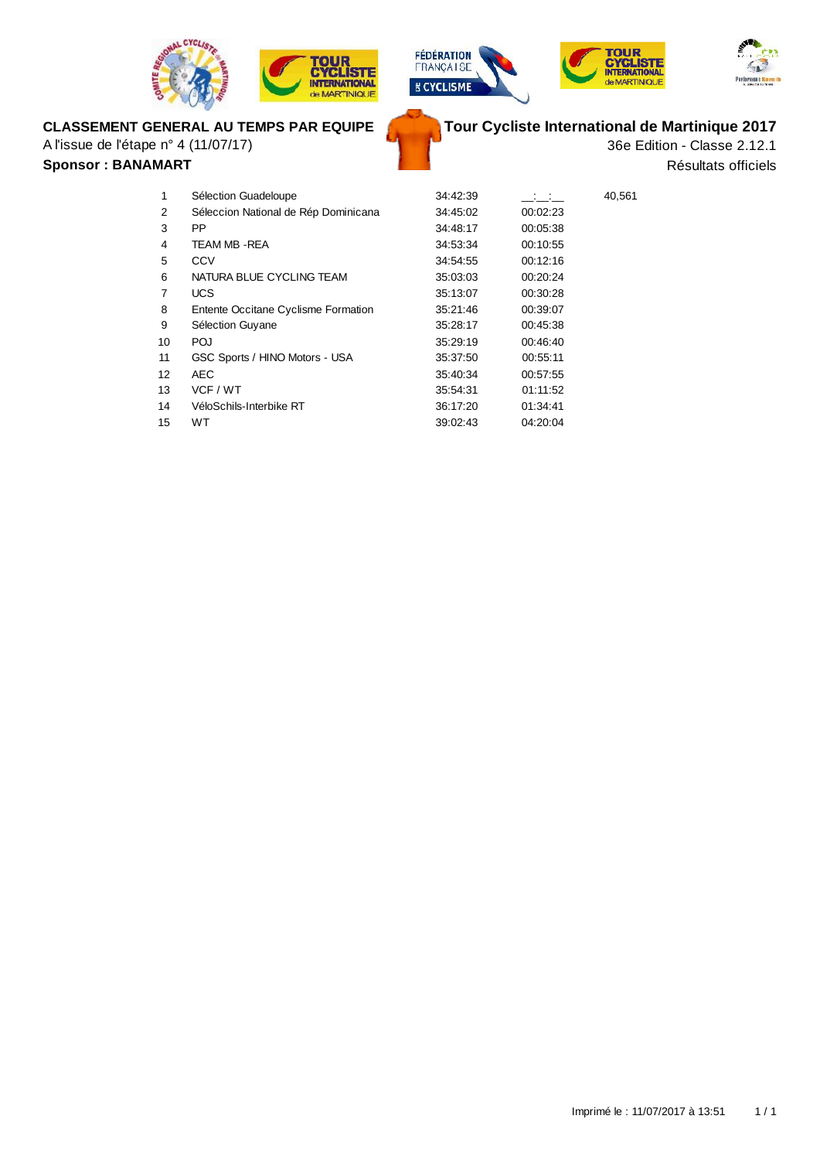







## **CLASSEMENT GENERAL AU TEMPS PAR EQUIPE**

A l'issue de l'étape n° 4 (11/07/17)

#### **Sponsor : BANAMART**

**Tour Cycliste International de Martinique 2017**

36e Edition - Classe 2.12.1 Résultats officiels

| 1  | Sélection Guadeloupe                 | 34:42:39 | $\sim 10^{11}$ m $^{-1}$ | 40,561 |
|----|--------------------------------------|----------|--------------------------|--------|
| 2  | Séleccion National de Rép Dominicana | 34:45:02 | 00:02:23                 |        |
| 3  | <b>PP</b>                            | 34:48:17 | 00:05:38                 |        |
| 4  | TEAM MB - REA                        | 34:53:34 | 00:10:55                 |        |
| 5  | CCV                                  | 34.54.55 | 00:12:16                 |        |
| 6  | NATURA BLUE CYCLING TEAM             | 35:03:03 | 00:20:24                 |        |
| 7  | <b>UCS</b>                           | 35:13:07 | 00:30:28                 |        |
| 8  | Entente Occitane Cyclisme Formation  | 35.21.46 | 00:39:07                 |        |
| 9  | Sélection Guyane                     | 35:28:17 | 00:45:38                 |        |
| 10 | <b>POJ</b>                           | 35:29:19 | 00:46:40                 |        |
| 11 | GSC Sports / HINO Motors - USA       | 35:37:50 | 00:55:11                 |        |
| 12 | <b>AEC</b>                           | 35:40:34 | 00:57:55                 |        |
| 13 | VCF / WT                             | 35:54:31 | 01:11:52                 |        |
| 14 | VéloSchils-Interbike RT              | 36:17:20 | 01:34:41                 |        |
| 15 | <b>WT</b>                            | 39:02:43 | 04:20:04                 |        |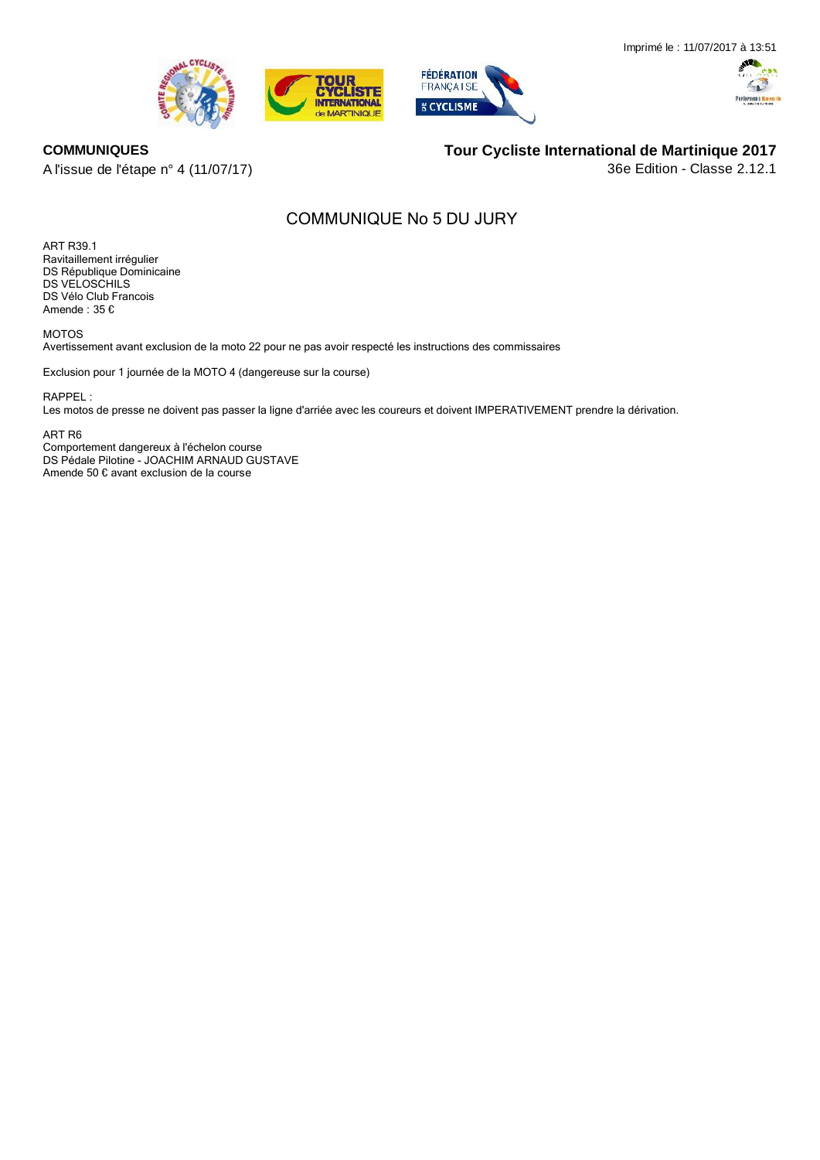





#### **COMMUNIQUES**

A l'issue de l'étape n° 4 (11/07/17)

**Tour Cycliste International de Martinique 2017**

36e Edition - Classe 2.12.1

# **COMMUNIQUE No 5 DU JURY**

**ART R39.1** Ravitaillement irrégulier DS RÈpublique Dominicaine DS VELOSCHILS DS Vélo Club Francois Amende :  $35 \text{ }\mathbb{C}$ 

**MOTOS**

Avertissement avant exclusion de la moto 22 pour ne pas avoir respecté les instructions des commissaires

Exclusion pour 1 journée de la MOTO 4 (dangereuse sur la course)

RAPPEL :

Les motos de presse ne doivent pas passer la ligne d'arriée avec les coureurs et doivent IMPERATIVEMENT prendre la dérivation.

**ART R6**

Comportement dangereux à l'échelon course DS Pédale Pilotine - JOACHIM ARNAUD GUSTAVE Amende 50 € avant exclusion de la course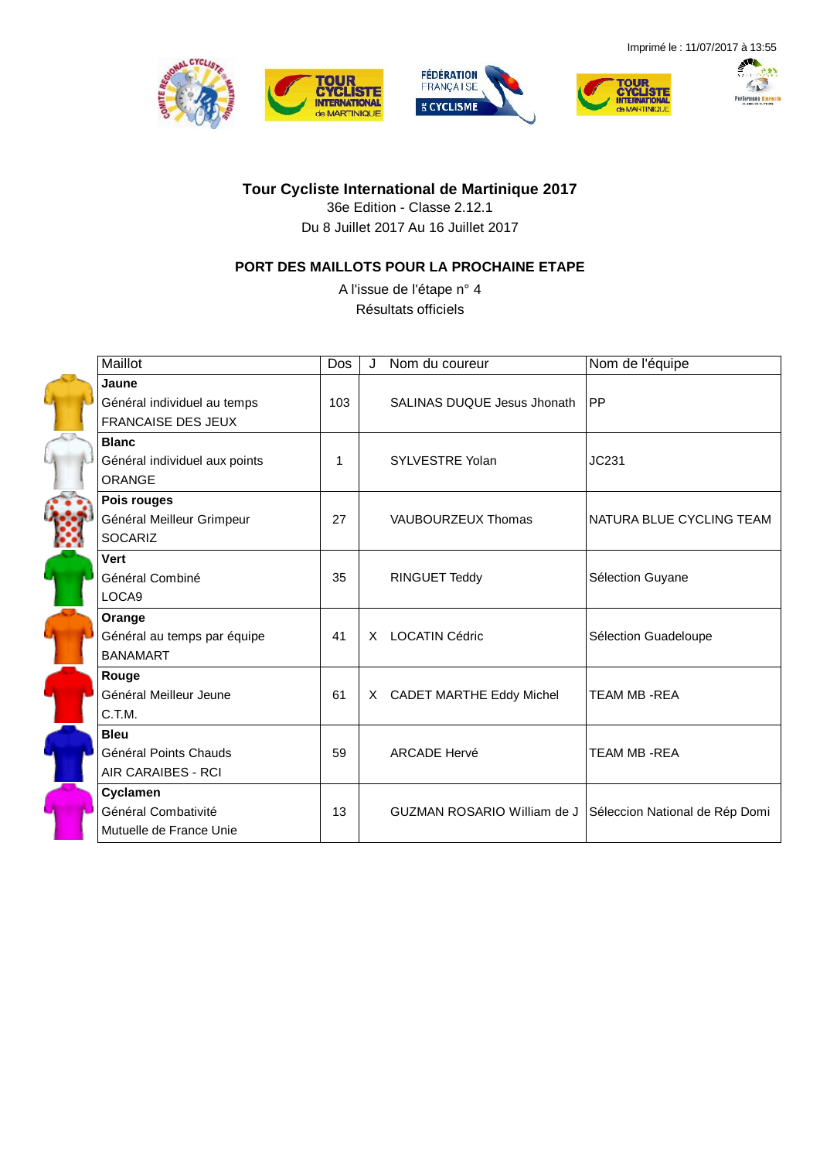







**Tour Cycliste International de Martinique 2017**

36e Edition - Classe 2.12.1 Du 8 Juillet 2017 Au 16 Juillet 2017

### **PORT DES MAILLOTS POUR LA PROCHAINE ETAPE**

A l'issue de l'étape n° 4 Résultats officiels

| Maillot                                                           | Dos | Nom du coureur                     | Nom de l'équipe                |
|-------------------------------------------------------------------|-----|------------------------------------|--------------------------------|
| Jaune<br>Général individuel au temps<br><b>FRANCAISE DES JEUX</b> | 103 | <b>SALINAS DUQUE Jesus Jhonath</b> | PP                             |
| <b>Blanc</b><br>Général individuel aux points<br>ORANGE           | 1   | SYLVESTRE Yolan                    | JC231                          |
| Pois rouges<br>Général Meilleur Grimpeur<br><b>SOCARIZ</b>        | 27  | VAUBOURZEUX Thomas                 | NATURA BLUE CYCLING TEAM       |
| Vert<br>Général Combiné<br>LOCA9                                  | 35  | <b>RINGUET Teddy</b>               | Sélection Guyane               |
| Orange<br>Général au temps par équipe<br><b>BANAMART</b>          | 41  | X LOCATIN Cédric                   | Sélection Guadeloupe           |
| Rouge<br>Général Meilleur Jeune<br>C.T.M.                         | 61  | X CADET MARTHE Eddy Michel         | <b>TEAM MB-REA</b>             |
| <b>Bleu</b><br>Général Points Chauds<br>AIR CARAIBES - RCI        | 59  | <b>ARCADE Hervé</b>                | <b>TEAM MB-REA</b>             |
| Cyclamen<br>Général Combativité<br>Mutuelle de France Unie        | 13  | <b>GUZMAN ROSARIO William de J</b> | Séleccion National de Rép Domi |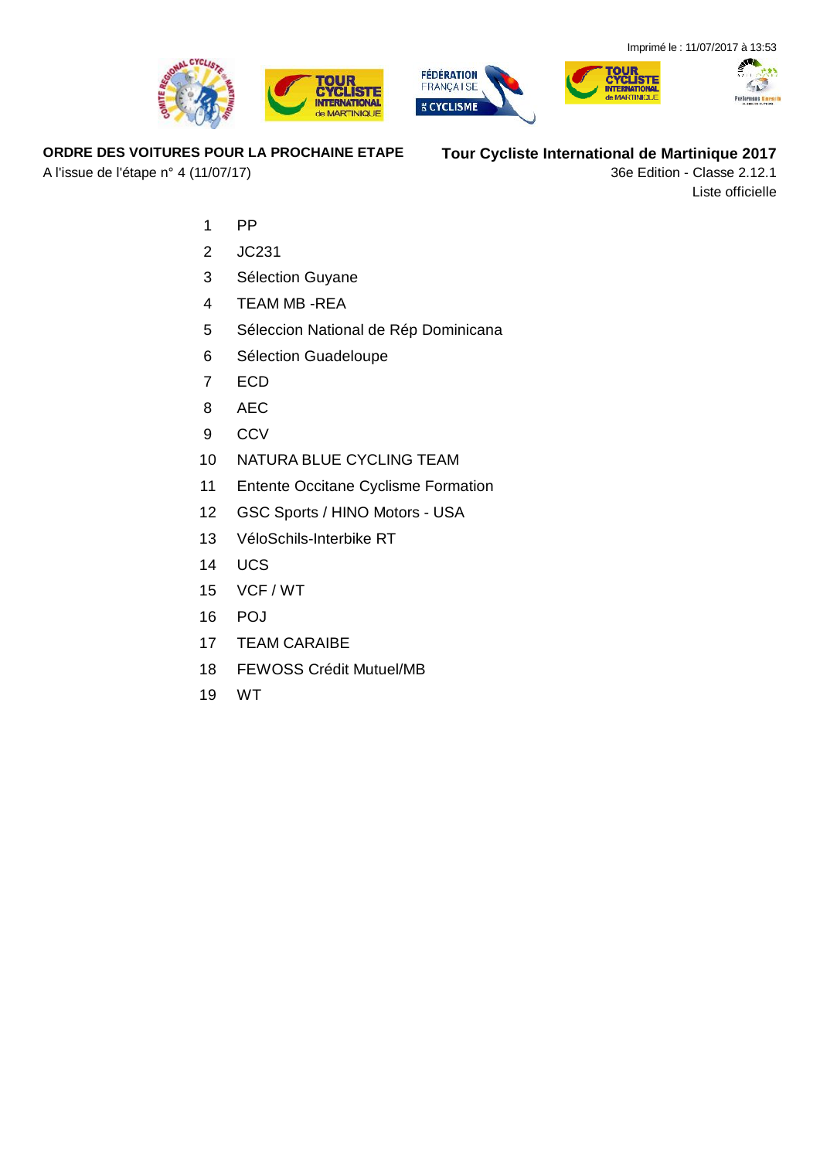





### **ORDRE DES VOITURES POUR LA PROCHAINE ETAPE**

A l'issue de l'étape n° 4 (11/07/17)

**Tour Cycliste International de Martinique 2017**

36e Edition - Classe 2.12.1 Liste officielle

- PP
- JC231
- Sélection Guyane
- TEAM MB -REA
- Séleccion National de Rép Dominicana
- Sélection Guadeloupe
- ECD
- AEC
- CCV
- NATURA BLUE CYCLING TEAM
- Entente Occitane Cyclisme Formation
- GSC Sports / HINO Motors USA
- VéloSchils-Interbike RT
- UCS
- VCF / WT
- POJ
- TEAM CARAIBE
- FEWOSS Crédit Mutuel/MB
- WT